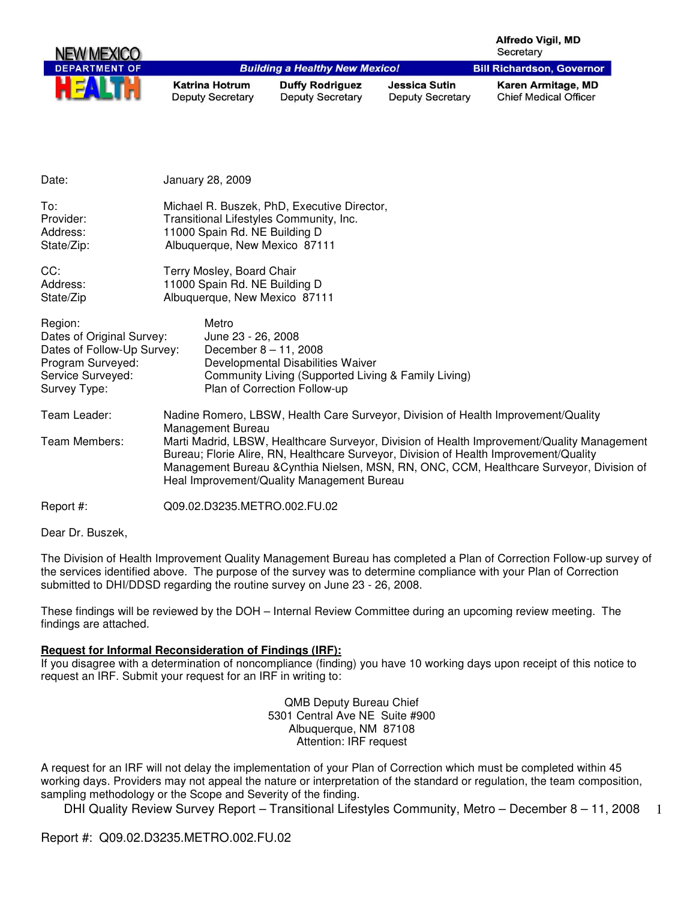| <b>NEW MEXICO</b>    |                                                  |                                                   |                                                 | Alfredo Vigil, MD<br>Secretary                     |
|----------------------|--------------------------------------------------|---------------------------------------------------|-------------------------------------------------|----------------------------------------------------|
| <b>DEPARTMENT OF</b> |                                                  | <b>Building a Healthy New Mexico!</b>             |                                                 | <b>Bill Richardson, Governor</b>                   |
| HEAL                 | <b>Katrina Hotrum</b><br><b>Deputy Secretary</b> | <b>Duffy Rodriguez</b><br><b>Deputy Secretary</b> | <b>Jessica Sutin</b><br><b>Deputy Secretary</b> | Karen Armitage, MD<br><b>Chief Medical Officer</b> |

| Date:                         | January 28, 2009                                                                                                                                                                                                                                                                                                                                                                          |  |
|-------------------------------|-------------------------------------------------------------------------------------------------------------------------------------------------------------------------------------------------------------------------------------------------------------------------------------------------------------------------------------------------------------------------------------------|--|
| To:                           | Michael R. Buszek, PhD, Executive Director,                                                                                                                                                                                                                                                                                                                                               |  |
| Provider:                     | Transitional Lifestyles Community, Inc.                                                                                                                                                                                                                                                                                                                                                   |  |
| Address:                      | 11000 Spain Rd. NE Building D                                                                                                                                                                                                                                                                                                                                                             |  |
| State/Zip:                    | Albuquerque, New Mexico 87111                                                                                                                                                                                                                                                                                                                                                             |  |
| CC:                           | Terry Mosley, Board Chair                                                                                                                                                                                                                                                                                                                                                                 |  |
| Address:                      | 11000 Spain Rd. NE Building D                                                                                                                                                                                                                                                                                                                                                             |  |
| State/Zip                     | Albuquerque, New Mexico 87111                                                                                                                                                                                                                                                                                                                                                             |  |
| Region:                       | Metro                                                                                                                                                                                                                                                                                                                                                                                     |  |
| Dates of Original Survey:     | June 23 - 26, 2008                                                                                                                                                                                                                                                                                                                                                                        |  |
| Dates of Follow-Up Survey:    | December $8 - 11$ , 2008                                                                                                                                                                                                                                                                                                                                                                  |  |
| Program Surveyed:             | Developmental Disabilities Waiver                                                                                                                                                                                                                                                                                                                                                         |  |
| Service Surveyed:             | Community Living (Supported Living & Family Living)                                                                                                                                                                                                                                                                                                                                       |  |
| Survey Type:                  | Plan of Correction Follow-up                                                                                                                                                                                                                                                                                                                                                              |  |
| Team Leader:<br>Team Members: | Nadine Romero, LBSW, Health Care Surveyor, Division of Health Improvement/Quality<br>Management Bureau<br>Marti Madrid, LBSW, Healthcare Surveyor, Division of Health Improvement/Quality Management<br>Bureau; Florie Alire, RN, Healthcare Surveyor, Division of Health Improvement/Quality<br>Management Bureau & Cynthia Nielsen, MSN, RN, ONC, CCM, Healthcare Surveyor, Division of |  |
| Report #:                     | Heal Improvement/Quality Management Bureau<br>Q09.02.D3235.METRO.002.FU.02                                                                                                                                                                                                                                                                                                                |  |

Dear Dr. Buszek,

The Division of Health Improvement Quality Management Bureau has completed a Plan of Correction Follow-up survey of the services identified above. The purpose of the survey was to determine compliance with your Plan of Correction submitted to DHI/DDSD regarding the routine survey on June 23 - 26, 2008.

These findings will be reviewed by the DOH – Internal Review Committee during an upcoming review meeting. The findings are attached.

#### **Request for Informal Reconsideration of Findings (IRF):**

If you disagree with a determination of noncompliance (finding) you have 10 working days upon receipt of this notice to request an IRF. Submit your request for an IRF in writing to:

> QMB Deputy Bureau Chief 5301 Central Ave NE Suite #900 Albuquerque, NM 87108 Attention: IRF request

A request for an IRF will not delay the implementation of your Plan of Correction which must be completed within 45 working days. Providers may not appeal the nature or interpretation of the standard or regulation, the team composition, sampling methodology or the Scope and Severity of the finding.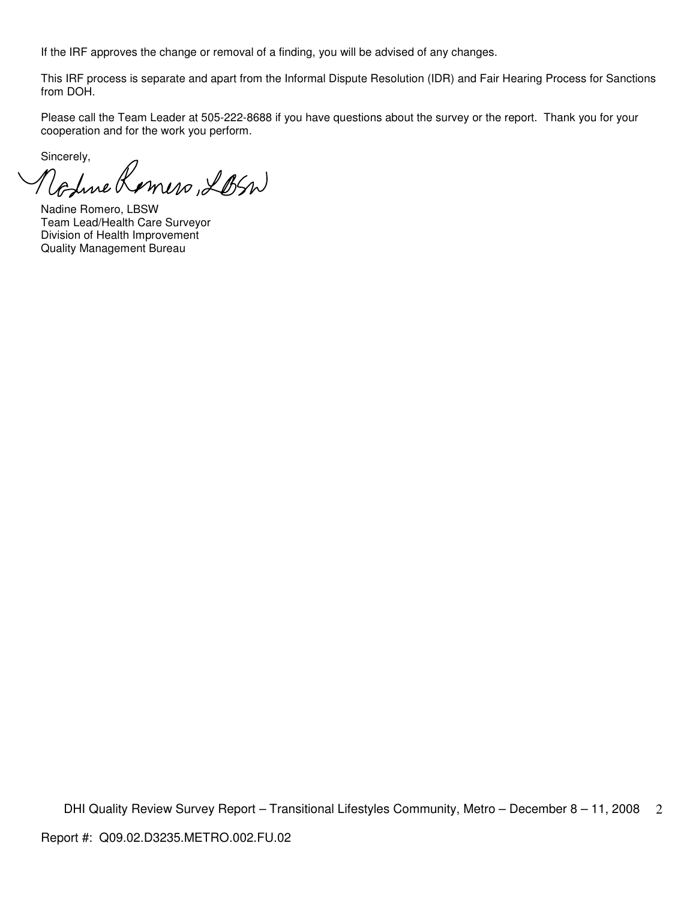If the IRF approves the change or removal of a finding, you will be advised of any changes.

This IRF process is separate and apart from the Informal Dispute Resolution (IDR) and Fair Hearing Process for Sanctions from DOH.

Please call the Team Leader at 505-222-8688 if you have questions about the survey or the report. Thank you for your cooperation and for the work you perform.

Sincerely,

Volue Komers, LBSN

Nadine Romero, LBSW Team Lead/Health Care Surveyor Division of Health Improvement Quality Management Bureau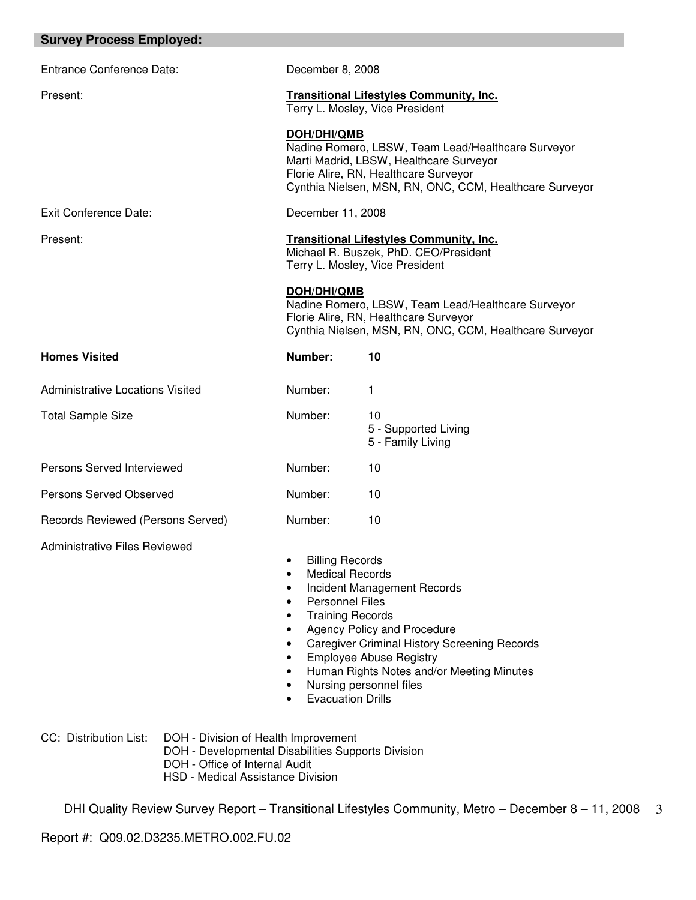| <b>Survey Process Employed:</b>         |                                                                                                                                                                    |                                                                                                                                                                                                                             |
|-----------------------------------------|--------------------------------------------------------------------------------------------------------------------------------------------------------------------|-----------------------------------------------------------------------------------------------------------------------------------------------------------------------------------------------------------------------------|
| <b>Entrance Conference Date:</b>        | December 8, 2008                                                                                                                                                   |                                                                                                                                                                                                                             |
| Present:                                | <b>Transitional Lifestyles Community, Inc.</b><br>Terry L. Mosley, Vice President                                                                                  |                                                                                                                                                                                                                             |
|                                         | <b>DOH/DHI/QMB</b>                                                                                                                                                 | Nadine Romero, LBSW, Team Lead/Healthcare Surveyor<br>Marti Madrid, LBSW, Healthcare Surveyor<br>Florie Alire, RN, Healthcare Surveyor<br>Cynthia Nielsen, MSN, RN, ONC, CCM, Healthcare Surveyor                           |
| Exit Conference Date:                   | December 11, 2008                                                                                                                                                  |                                                                                                                                                                                                                             |
| Present:                                | <b>Transitional Lifestyles Community, Inc.</b><br>Michael R. Buszek, PhD. CEO/President<br>Terry L. Mosley, Vice President                                         |                                                                                                                                                                                                                             |
|                                         | <b>DOH/DHI/QMB</b>                                                                                                                                                 | Nadine Romero, LBSW, Team Lead/Healthcare Surveyor<br>Florie Alire, RN, Healthcare Surveyor<br>Cynthia Nielsen, MSN, RN, ONC, CCM, Healthcare Surveyor                                                                      |
| <b>Homes Visited</b>                    | Number:                                                                                                                                                            | 10                                                                                                                                                                                                                          |
| <b>Administrative Locations Visited</b> | Number:                                                                                                                                                            | 1                                                                                                                                                                                                                           |
| <b>Total Sample Size</b>                | Number:                                                                                                                                                            | 10<br>5 - Supported Living<br>5 - Family Living                                                                                                                                                                             |
| Persons Served Interviewed              | Number:                                                                                                                                                            | 10                                                                                                                                                                                                                          |
| Persons Served Observed                 | Number:                                                                                                                                                            | 10                                                                                                                                                                                                                          |
| Records Reviewed (Persons Served)       | Number:                                                                                                                                                            | 10                                                                                                                                                                                                                          |
| Administrative Files Reviewed           | <b>Billing Records</b><br>$\bullet$<br><b>Medical Records</b><br><b>Personnel Files</b><br><b>Training Records</b><br>٠<br>٠<br>٠<br>٠<br><b>Evacuation Drills</b> | Incident Management Records<br>Agency Policy and Procedure<br><b>Caregiver Criminal History Screening Records</b><br><b>Employee Abuse Registry</b><br>Human Rights Notes and/or Meeting Minutes<br>Nursing personnel files |

CC: Distribution List: DOH - Division of Health Improvement

DOH - Developmental Disabilities Supports Division

- DOH Office of Internal Audit
- HSD Medical Assistance Division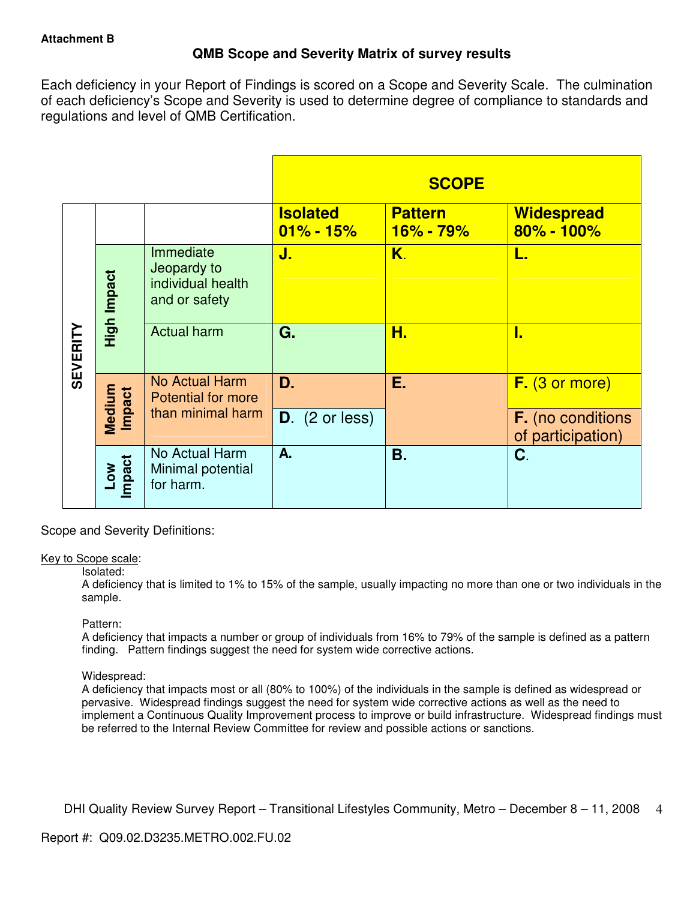# **QMB Scope and Severity Matrix of survey results**

Each deficiency in your Report of Findings is scored on a Scope and Severity Scale. The culmination of each deficiency's Scope and Severity is used to determine degree of compliance to standards and regulations and level of QMB Certification.

|                 |                           |                                                                |                                  | <b>SCOPE</b>                  |                                               |
|-----------------|---------------------------|----------------------------------------------------------------|----------------------------------|-------------------------------|-----------------------------------------------|
|                 |                           |                                                                | <b>Isolated</b><br>$01\% - 15\%$ | <b>Pattern</b><br>$16% - 79%$ | <b>Widespread</b><br>$80\% - 100\%$           |
|                 | High Impact               | Immediate<br>Jeopardy to<br>individual health<br>and or safety | J.                               | Κ.                            | L.                                            |
| <b>SEVERITY</b> |                           | <b>Actual harm</b>                                             | G.                               | Н.                            | I.                                            |
|                 | Medium<br><b>Impact</b>   | <b>No Actual Harm</b><br><b>Potential for more</b>             | D.                               | Ε.                            | F. (3 or more)                                |
|                 |                           | than minimal harm                                              | $D.$ (2 or less)                 |                               | <b>F.</b> (no conditions<br>of participation) |
|                 | Impact<br>NO <sub>-</sub> | No Actual Harm<br>Minimal potential<br>for harm.               | A.                               | В.                            | C.                                            |

Scope and Severity Definitions:

### Key to Scope scale:

### Isolated:

A deficiency that is limited to 1% to 15% of the sample, usually impacting no more than one or two individuals in the sample.

### Pattern:

A deficiency that impacts a number or group of individuals from 16% to 79% of the sample is defined as a pattern finding. Pattern findings suggest the need for system wide corrective actions.

## Widespread:

A deficiency that impacts most or all (80% to 100%) of the individuals in the sample is defined as widespread or pervasive. Widespread findings suggest the need for system wide corrective actions as well as the need to implement a Continuous Quality Improvement process to improve or build infrastructure. Widespread findings must be referred to the Internal Review Committee for review and possible actions or sanctions.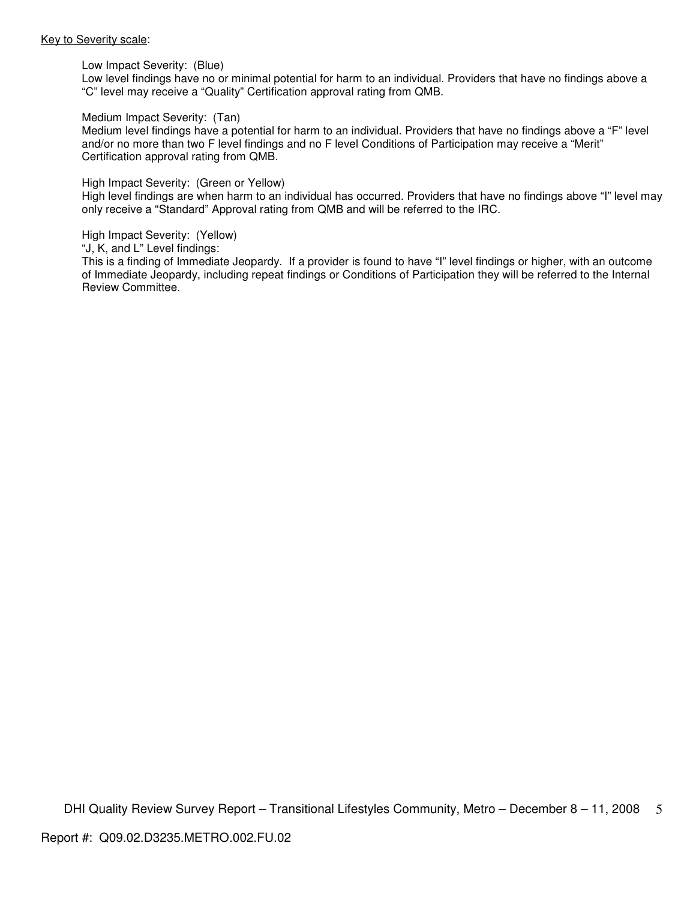#### Key to Severity scale:

Low Impact Severity: (Blue)

Low level findings have no or minimal potential for harm to an individual. Providers that have no findings above a "C" level may receive a "Quality" Certification approval rating from QMB.

#### Medium Impact Severity: (Tan)

Medium level findings have a potential for harm to an individual. Providers that have no findings above a "F" level and/or no more than two F level findings and no F level Conditions of Participation may receive a "Merit" Certification approval rating from QMB.

#### High Impact Severity: (Green or Yellow)

High level findings are when harm to an individual has occurred. Providers that have no findings above "I" level may only receive a "Standard" Approval rating from QMB and will be referred to the IRC.

#### High Impact Severity: (Yellow)

"J, K, and L" Level findings:

This is a finding of Immediate Jeopardy. If a provider is found to have "I" level findings or higher, with an outcome of Immediate Jeopardy, including repeat findings or Conditions of Participation they will be referred to the Internal Review Committee.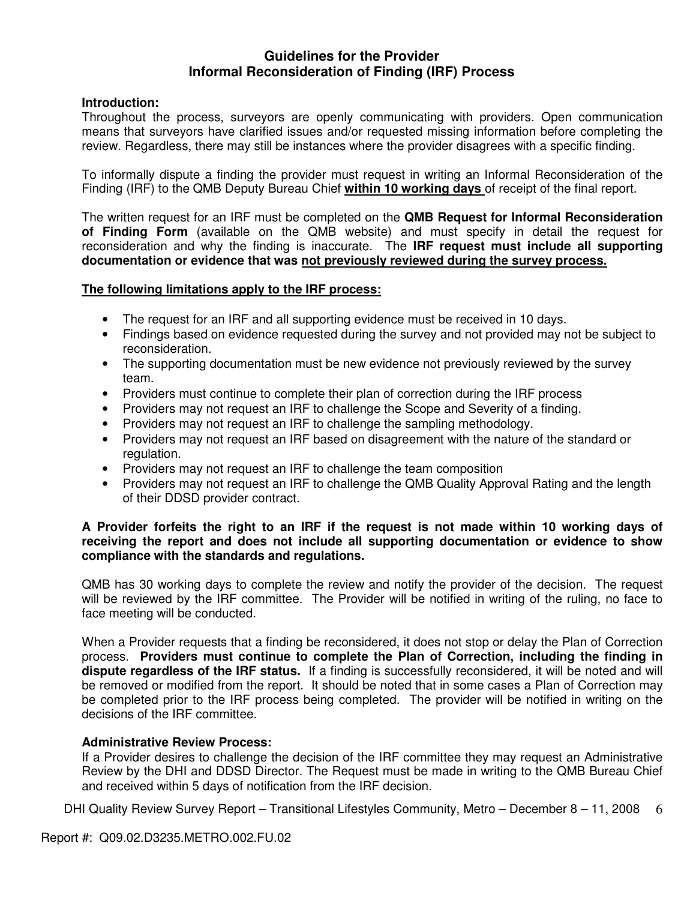## **Guidelines for the Provider Informal Reconsideration of Finding (IRF) Process**

## **Introduction:**

Throughout the process, surveyors are openly communicating with providers. Open communication means that surveyors have clarified issues and/or requested missing information before completing the review. Regardless, there may still be instances where the provider disagrees with a specific finding.

To informally dispute a finding the provider must request in writing an Informal Reconsideration of the Finding (IRF) to the QMB Deputy Bureau Chief **within 10 working days** of receipt of the final report.

The written request for an IRF must be completed on the **QMB Request for Informal Reconsideration of Finding Form** (available on the QMB website) and must specify in detail the request for reconsideration and why the finding is inaccurate. The **IRF request must include all supporting documentation or evidence that was not previously reviewed during the survey process.** 

### **The following limitations apply to the IRF process:**

- The request for an IRF and all supporting evidence must be received in 10 days.
- Findings based on evidence requested during the survey and not provided may not be subject to reconsideration.
- The supporting documentation must be new evidence not previously reviewed by the survey team.
- Providers must continue to complete their plan of correction during the IRF process
- Providers may not request an IRF to challenge the Scope and Severity of a finding.
- Providers may not request an IRF to challenge the sampling methodology.
- Providers may not request an IRF based on disagreement with the nature of the standard or regulation.
- Providers may not request an IRF to challenge the team composition
- Providers may not request an IRF to challenge the QMB Quality Approval Rating and the length of their DDSD provider contract.

### **A Provider forfeits the right to an IRF if the request is not made within 10 working days of receiving the report and does not include all supporting documentation or evidence to show compliance with the standards and regulations.**

QMB has 30 working days to complete the review and notify the provider of the decision. The request will be reviewed by the IRF committee. The Provider will be notified in writing of the ruling, no face to face meeting will be conducted.

When a Provider requests that a finding be reconsidered, it does not stop or delay the Plan of Correction process. **Providers must continue to complete the Plan of Correction, including the finding in dispute regardless of the IRF status.** If a finding is successfully reconsidered, it will be noted and will be removed or modified from the report. It should be noted that in some cases a Plan of Correction may be completed prior to the IRF process being completed. The provider will be notified in writing on the decisions of the IRF committee.

## **Administrative Review Process:**

If a Provider desires to challenge the decision of the IRF committee they may request an Administrative Review by the DHI and DDSD Director. The Request must be made in writing to the QMB Bureau Chief and received within 5 days of notification from the IRF decision.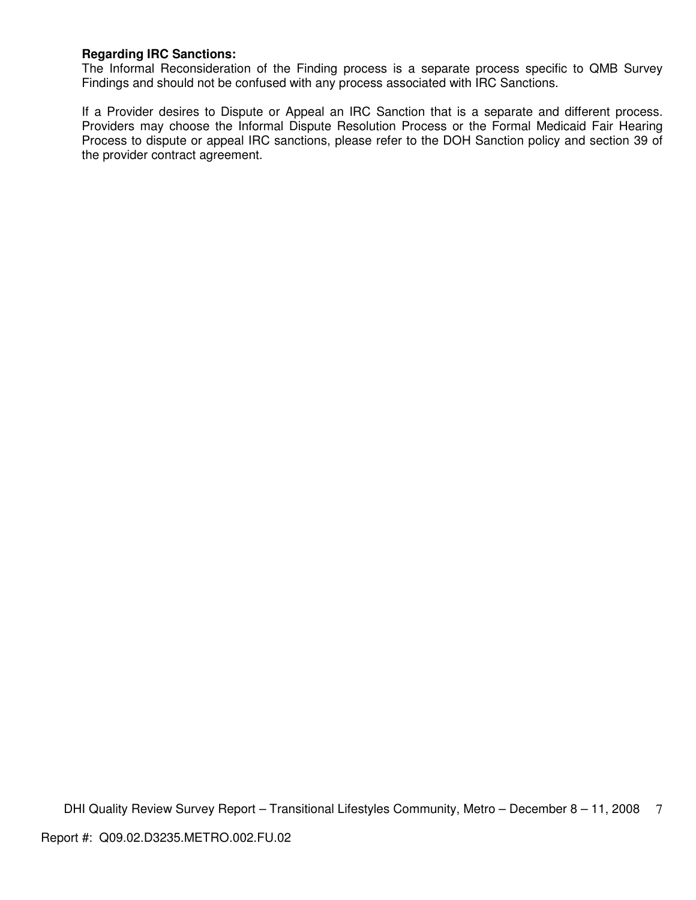## **Regarding IRC Sanctions:**

The Informal Reconsideration of the Finding process is a separate process specific to QMB Survey Findings and should not be confused with any process associated with IRC Sanctions.

If a Provider desires to Dispute or Appeal an IRC Sanction that is a separate and different process. Providers may choose the Informal Dispute Resolution Process or the Formal Medicaid Fair Hearing Process to dispute or appeal IRC sanctions, please refer to the DOH Sanction policy and section 39 of the provider contract agreement.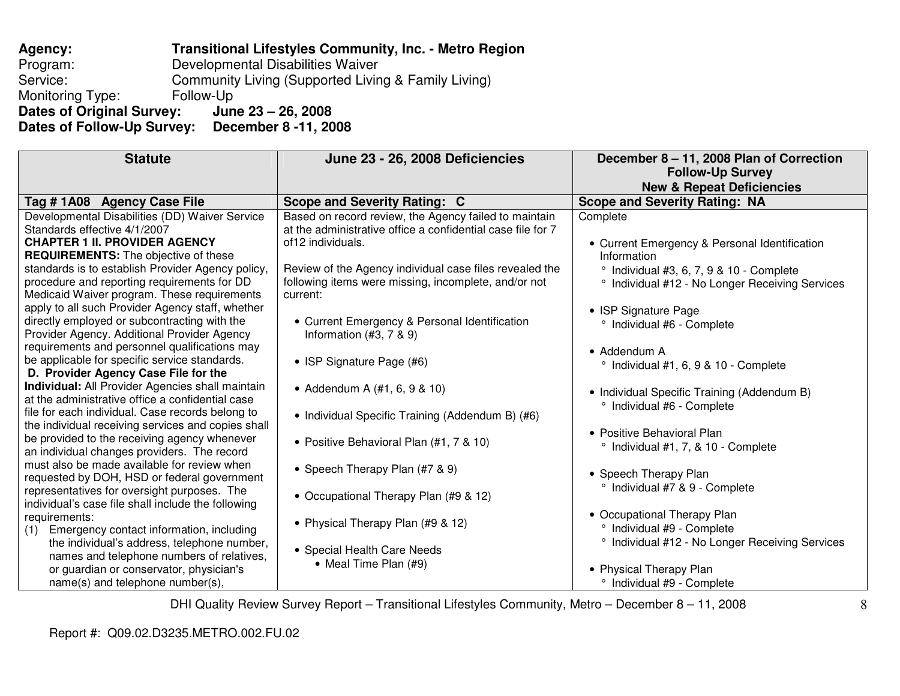### **Agency: Transitional Lifestyles Community, Inc. - Metro Region** Program: Developmental Disabilities Waiver Service: Community Living (Supported Living & Family Living) Monitoring Type: Follow-Up June 23 - 26, 2008 **Dates of Original Survey: Dates of Follow-Up Survey: December 8 -11, 2008**

| <b>Statute</b>                                                                                                                                                                                                                                                                                                                                                                                                                                                                                                                                                                                                                                                                                                                                                                                                                                                                                                                                | June 23 - 26, 2008 Deficiencies                                                                                                                                                                                                                                                                                                                                                                                                                                                                                       | December 8 - 11, 2008 Plan of Correction<br><b>Follow-Up Survey</b><br><b>New &amp; Repeat Deficiencies</b>                                                                                                                                                                                                                                                                                                                                                          |
|-----------------------------------------------------------------------------------------------------------------------------------------------------------------------------------------------------------------------------------------------------------------------------------------------------------------------------------------------------------------------------------------------------------------------------------------------------------------------------------------------------------------------------------------------------------------------------------------------------------------------------------------------------------------------------------------------------------------------------------------------------------------------------------------------------------------------------------------------------------------------------------------------------------------------------------------------|-----------------------------------------------------------------------------------------------------------------------------------------------------------------------------------------------------------------------------------------------------------------------------------------------------------------------------------------------------------------------------------------------------------------------------------------------------------------------------------------------------------------------|----------------------------------------------------------------------------------------------------------------------------------------------------------------------------------------------------------------------------------------------------------------------------------------------------------------------------------------------------------------------------------------------------------------------------------------------------------------------|
| Tag # 1A08 Agency Case File                                                                                                                                                                                                                                                                                                                                                                                                                                                                                                                                                                                                                                                                                                                                                                                                                                                                                                                   | Scope and Severity Rating: C                                                                                                                                                                                                                                                                                                                                                                                                                                                                                          | <b>Scope and Severity Rating: NA</b>                                                                                                                                                                                                                                                                                                                                                                                                                                 |
| Developmental Disabilities (DD) Waiver Service<br>Standards effective 4/1/2007<br><b>CHAPTER 1 II. PROVIDER AGENCY</b><br><b>REQUIREMENTS:</b> The objective of these<br>standards is to establish Provider Agency policy,<br>procedure and reporting requirements for DD<br>Medicaid Waiver program. These requirements<br>apply to all such Provider Agency staff, whether<br>directly employed or subcontracting with the<br>Provider Agency. Additional Provider Agency<br>requirements and personnel qualifications may<br>be applicable for specific service standards.<br>D. Provider Agency Case File for the<br><b>Individual:</b> All Provider Agencies shall maintain<br>at the administrative office a confidential case<br>file for each individual. Case records belong to<br>the individual receiving services and copies shall<br>be provided to the receiving agency whenever<br>an individual changes providers. The record | Based on record review, the Agency failed to maintain<br>at the administrative office a confidential case file for 7<br>of 12 individuals.<br>Review of the Agency individual case files revealed the<br>following items were missing, incomplete, and/or not<br>current:<br>• Current Emergency & Personal Identification<br>Information $(#3, 7, 8, 9)$<br>• ISP Signature Page (#6)<br>• Addendum A (#1, 6, 9 & 10)<br>• Individual Specific Training (Addendum B) (#6)<br>• Positive Behavioral Plan (#1, 7 & 10) | Complete<br>• Current Emergency & Personal Identification<br>Information<br>$^{\circ}$ Individual #3, 6, 7, 9 & 10 - Complete<br><sup>o</sup> Individual #12 - No Longer Receiving Services<br>• ISP Signature Page<br>° Individual #6 - Complete<br>$\bullet$ Addendum A<br>° Individual #1, 6, 9 & 10 - Complete<br>• Individual Specific Training (Addendum B)<br>° Individual #6 - Complete<br>• Positive Behavioral Plan<br>° Individual #1, 7, & 10 - Complete |
| must also be made available for review when<br>requested by DOH, HSD or federal government<br>representatives for oversight purposes. The<br>individual's case file shall include the following<br>requirements:<br>Emergency contact information, including<br>(1)<br>the individual's address, telephone number,<br>names and telephone numbers of relatives,<br>or guardian or conservator, physician's<br>name(s) and telephone number(s),                                                                                                                                                                                                                                                                                                                                                                                                                                                                                                | • Speech Therapy Plan (#7 & 9)<br>• Occupational Therapy Plan (#9 & 12)<br>• Physical Therapy Plan (#9 & 12)<br>• Special Health Care Needs<br>• Meal Time Plan (#9)                                                                                                                                                                                                                                                                                                                                                  | • Speech Therapy Plan<br>° Individual #7 & 9 - Complete<br>• Occupational Therapy Plan<br>° Individual #9 - Complete<br><sup>o</sup> Individual #12 - No Longer Receiving Services<br>• Physical Therapy Plan<br>° Individual #9 - Complete                                                                                                                                                                                                                          |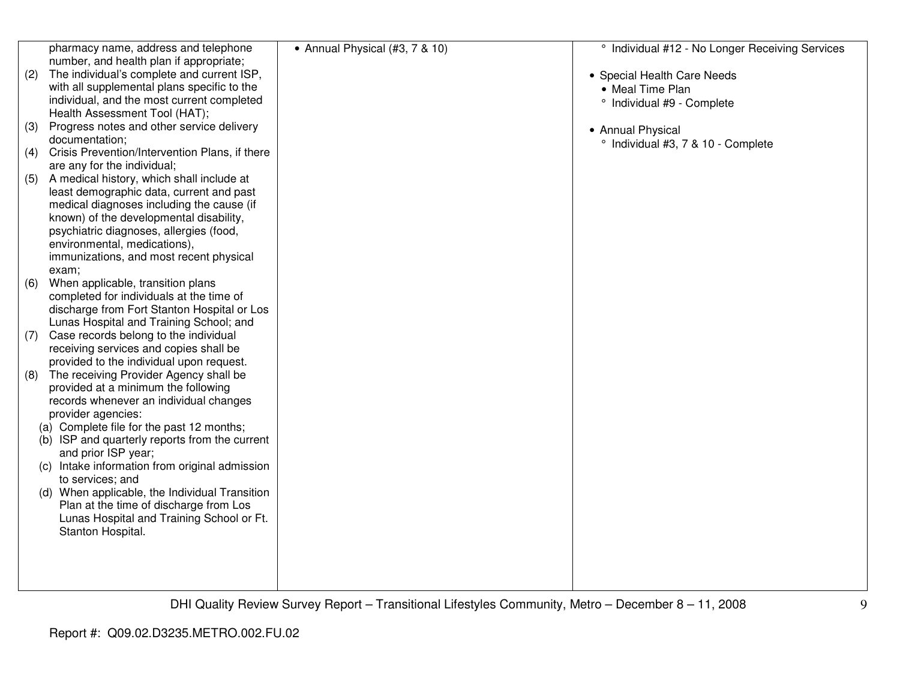| pharmacy name, address and telephone                  | • Annual Physical (#3, 7 & 10) | <sup>o</sup> Individual #12 - No Longer Receiving Services |
|-------------------------------------------------------|--------------------------------|------------------------------------------------------------|
| number, and health plan if appropriate;               |                                |                                                            |
| The individual's complete and current ISP,<br>(2)     |                                | • Special Health Care Needs                                |
| with all supplemental plans specific to the           |                                | • Meal Time Plan                                           |
| individual, and the most current completed            |                                | ° Individual #9 - Complete                                 |
| Health Assessment Tool (HAT);                         |                                |                                                            |
| Progress notes and other service delivery<br>(3)      |                                | • Annual Physical                                          |
| documentation;                                        |                                | ° Individual #3, 7 & 10 - Complete                         |
| Crisis Prevention/Intervention Plans, if there<br>(4) |                                |                                                            |
| are any for the individual;                           |                                |                                                            |
| A medical history, which shall include at<br>(5)      |                                |                                                            |
| least demographic data, current and past              |                                |                                                            |
| medical diagnoses including the cause (if             |                                |                                                            |
| known) of the developmental disability,               |                                |                                                            |
| psychiatric diagnoses, allergies (food,               |                                |                                                            |
| environmental, medications),                          |                                |                                                            |
| immunizations, and most recent physical               |                                |                                                            |
| exam;                                                 |                                |                                                            |
| When applicable, transition plans<br>(6)              |                                |                                                            |
| completed for individuals at the time of              |                                |                                                            |
| discharge from Fort Stanton Hospital or Los           |                                |                                                            |
| Lunas Hospital and Training School; and               |                                |                                                            |
| Case records belong to the individual<br>(7)          |                                |                                                            |
| receiving services and copies shall be                |                                |                                                            |
| provided to the individual upon request.              |                                |                                                            |
| The receiving Provider Agency shall be<br>(8)         |                                |                                                            |
| provided at a minimum the following                   |                                |                                                            |
| records whenever an individual changes                |                                |                                                            |
| provider agencies:                                    |                                |                                                            |
| (a) Complete file for the past 12 months;             |                                |                                                            |
| (b) ISP and quarterly reports from the current        |                                |                                                            |
| and prior ISP year;                                   |                                |                                                            |
| (c) Intake information from original admission        |                                |                                                            |
| to services; and                                      |                                |                                                            |
| (d) When applicable, the Individual Transition        |                                |                                                            |
| Plan at the time of discharge from Los                |                                |                                                            |
| Lunas Hospital and Training School or Ft.             |                                |                                                            |
| Stanton Hospital.                                     |                                |                                                            |
|                                                       |                                |                                                            |
|                                                       |                                |                                                            |
|                                                       |                                |                                                            |
|                                                       |                                |                                                            |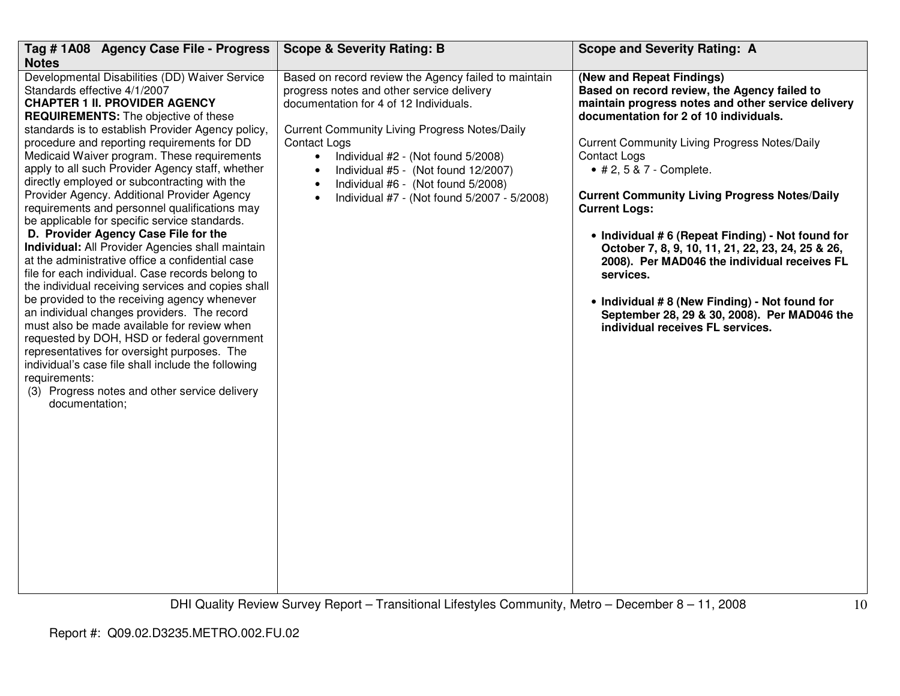| Tag # 1A08 Agency Case File - Progress<br><b>Notes</b>                                                                                                                                                                                                                                                                                                                                                                                                                                                                                                                                                                                                                                                                                                                                                                                                                                                                                                                                                                                                                                                                                                                                                                        | <b>Scope &amp; Severity Rating: B</b>                                                                                                                                                                                                                                                                                                                                                                                               | <b>Scope and Severity Rating: A</b>                                                                                                                                                                                                                                                                                                                                                                                                                                                                                                                                                                                                                                             |
|-------------------------------------------------------------------------------------------------------------------------------------------------------------------------------------------------------------------------------------------------------------------------------------------------------------------------------------------------------------------------------------------------------------------------------------------------------------------------------------------------------------------------------------------------------------------------------------------------------------------------------------------------------------------------------------------------------------------------------------------------------------------------------------------------------------------------------------------------------------------------------------------------------------------------------------------------------------------------------------------------------------------------------------------------------------------------------------------------------------------------------------------------------------------------------------------------------------------------------|-------------------------------------------------------------------------------------------------------------------------------------------------------------------------------------------------------------------------------------------------------------------------------------------------------------------------------------------------------------------------------------------------------------------------------------|---------------------------------------------------------------------------------------------------------------------------------------------------------------------------------------------------------------------------------------------------------------------------------------------------------------------------------------------------------------------------------------------------------------------------------------------------------------------------------------------------------------------------------------------------------------------------------------------------------------------------------------------------------------------------------|
| Developmental Disabilities (DD) Waiver Service<br>Standards effective 4/1/2007<br><b>CHAPTER 1 II. PROVIDER AGENCY</b><br><b>REQUIREMENTS:</b> The objective of these<br>standards is to establish Provider Agency policy,<br>procedure and reporting requirements for DD<br>Medicaid Waiver program. These requirements<br>apply to all such Provider Agency staff, whether<br>directly employed or subcontracting with the<br>Provider Agency. Additional Provider Agency<br>requirements and personnel qualifications may<br>be applicable for specific service standards.<br>D. Provider Agency Case File for the<br>Individual: All Provider Agencies shall maintain<br>at the administrative office a confidential case<br>file for each individual. Case records belong to<br>the individual receiving services and copies shall<br>be provided to the receiving agency whenever<br>an individual changes providers. The record<br>must also be made available for review when<br>requested by DOH, HSD or federal government<br>representatives for oversight purposes. The<br>individual's case file shall include the following<br>requirements:<br>(3) Progress notes and other service delivery<br>documentation; | Based on record review the Agency failed to maintain<br>progress notes and other service delivery<br>documentation for 4 of 12 Individuals.<br><b>Current Community Living Progress Notes/Daily</b><br><b>Contact Logs</b><br>$\bullet$<br>Individual #2 - (Not found 5/2008)<br>Individual #5 - (Not found 12/2007)<br>$\bullet$<br>Individual #6 - (Not found 5/2008)<br>$\bullet$<br>Individual #7 - (Not found 5/2007 - 5/2008) | (New and Repeat Findings)<br>Based on record review, the Agency failed to<br>maintain progress notes and other service delivery<br>documentation for 2 of 10 individuals.<br><b>Current Community Living Progress Notes/Daily</b><br><b>Contact Logs</b><br>• # 2, 5 & 7 - Complete.<br><b>Current Community Living Progress Notes/Daily</b><br><b>Current Logs:</b><br>• Individual #6 (Repeat Finding) - Not found for<br>October 7, 8, 9, 10, 11, 21, 22, 23, 24, 25 & 26,<br>2008). Per MAD046 the individual receives FL<br>services.<br>• Individual #8 (New Finding) - Not found for<br>September 28, 29 & 30, 2008). Per MAD046 the<br>individual receives FL services. |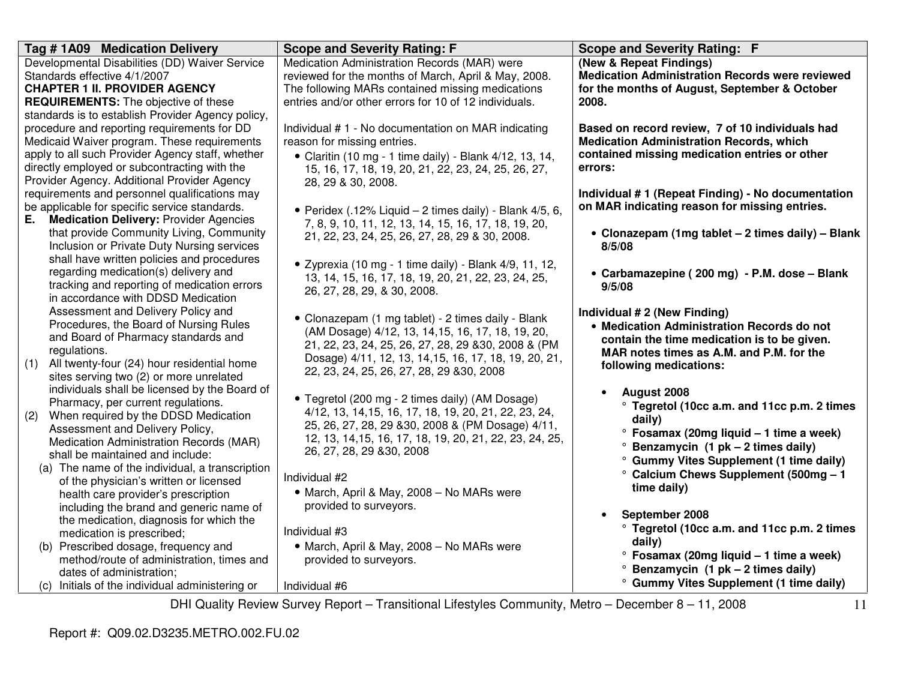| Tag #1A09 Medication Delivery                                                            | <b>Scope and Severity Rating: F</b>                       | Scope and Severity Rating: F                           |
|------------------------------------------------------------------------------------------|-----------------------------------------------------------|--------------------------------------------------------|
| Developmental Disabilities (DD) Waiver Service                                           | Medication Administration Records (MAR) were              | (New & Repeat Findings)                                |
| Standards effective 4/1/2007                                                             | reviewed for the months of March, April & May, 2008.      | <b>Medication Administration Records were reviewed</b> |
| <b>CHAPTER 1 II. PROVIDER AGENCY</b>                                                     | The following MARs contained missing medications          | for the months of August, September & October          |
| <b>REQUIREMENTS:</b> The objective of these                                              | entries and/or other errors for 10 of 12 individuals.     | 2008.                                                  |
| standards is to establish Provider Agency policy,                                        |                                                           |                                                        |
| procedure and reporting requirements for DD                                              | Individual #1 - No documentation on MAR indicating        | Based on record review, 7 of 10 individuals had        |
| Medicaid Waiver program. These requirements                                              | reason for missing entries.                               | <b>Medication Administration Records, which</b>        |
| apply to all such Provider Agency staff, whether                                         | • Claritin (10 mg - 1 time daily) - Blank 4/12, 13, 14,   | contained missing medication entries or other          |
| directly employed or subcontracting with the                                             | 15, 16, 17, 18, 19, 20, 21, 22, 23, 24, 25, 26, 27,       | errors:                                                |
| Provider Agency. Additional Provider Agency                                              | 28, 29 & 30, 2008.                                        |                                                        |
| requirements and personnel qualifications may                                            |                                                           | Individual # 1 (Repeat Finding) - No documentation     |
| be applicable for specific service standards.                                            | • Peridex (.12% Liquid $-$ 2 times daily) - Blank 4/5, 6, | on MAR indicating reason for missing entries.          |
| Е.<br><b>Medication Delivery: Provider Agencies</b>                                      | 7, 8, 9, 10, 11, 12, 13, 14, 15, 16, 17, 18, 19, 20,      |                                                        |
| that provide Community Living, Community                                                 | 21, 22, 23, 24, 25, 26, 27, 28, 29 & 30, 2008.            | • Clonazepam (1mg tablet - 2 times daily) - Blank      |
| Inclusion or Private Duty Nursing services                                               |                                                           | 8/5/08                                                 |
| shall have written policies and procedures                                               | · Zyprexia (10 mg - 1 time daily) - Blank 4/9, 11, 12,    |                                                        |
| regarding medication(s) delivery and                                                     | 13, 14, 15, 16, 17, 18, 19, 20, 21, 22, 23, 24, 25,       | • Carbamazepine (200 mg) - P.M. dose - Blank           |
| tracking and reporting of medication errors                                              | 26, 27, 28, 29, & 30, 2008.                               | 9/5/08                                                 |
| in accordance with DDSD Medication                                                       |                                                           |                                                        |
| Assessment and Delivery Policy and                                                       | • Clonazepam (1 mg tablet) - 2 times daily - Blank        | Individual # 2 (New Finding)                           |
| Procedures, the Board of Nursing Rules                                                   | (AM Dosage) 4/12, 13, 14, 15, 16, 17, 18, 19, 20,         | • Medication Administration Records do not             |
| and Board of Pharmacy standards and                                                      | 21, 22, 23, 24, 25, 26, 27, 28, 29 & 30, 2008 & (PM       | contain the time medication is to be given.            |
| regulations.                                                                             | Dosage) 4/11, 12, 13, 14, 15, 16, 17, 18, 19, 20, 21,     | MAR notes times as A.M. and P.M. for the               |
| All twenty-four (24) hour residential home<br>(1)                                        | 22, 23, 24, 25, 26, 27, 28, 29 & 30, 2008                 | following medications:                                 |
| sites serving two (2) or more unrelated<br>individuals shall be licensed by the Board of |                                                           |                                                        |
|                                                                                          | • Tegretol (200 mg - 2 times daily) (AM Dosage)           | August 2008                                            |
| Pharmacy, per current regulations.<br>(2)<br>When required by the DDSD Medication        | 4/12, 13, 14, 15, 16, 17, 18, 19, 20, 21, 22, 23, 24,     | ° Tegretol (10cc a.m. and 11cc p.m. 2 times            |
| Assessment and Delivery Policy,                                                          | 25, 26, 27, 28, 29 & 30, 2008 & (PM Dosage) 4/11,         | daily)                                                 |
| Medication Administration Records (MAR)                                                  | 12, 13, 14, 15, 16, 17, 18, 19, 20, 21, 22, 23, 24, 25,   | ° Fosamax (20mg liquid – 1 time a week)                |
| shall be maintained and include:                                                         | 26, 27, 28, 29 & 30, 2008                                 | $\degree$ Benzamycin (1 pk – 2 times daily)            |
| (a) The name of the individual, a transcription                                          |                                                           | ° Gummy Vites Supplement (1 time daily)                |
| of the physician's written or licensed                                                   | Individual #2                                             | ° Calcium Chews Supplement (500mg - 1                  |
| health care provider's prescription                                                      | • March, April & May, 2008 - No MARs were                 | time daily)                                            |
| including the brand and generic name of                                                  | provided to surveyors.                                    |                                                        |
| the medication, diagnosis for which the                                                  |                                                           | September 2008<br>$\bullet$                            |
| medication is prescribed;                                                                | Individual #3                                             | ° Tegretol (10cc a.m. and 11cc p.m. 2 times            |
| (b) Prescribed dosage, frequency and                                                     | • March, April & May, 2008 - No MARs were                 | daily)                                                 |
| method/route of administration, times and                                                | provided to surveyors.                                    | $\degree$ Fosamax (20mg liquid - 1 time a week)        |
| dates of administration;                                                                 |                                                           | $\degree$ Benzamycin (1 pk – 2 times daily)            |
| (c) Initials of the individual administering or                                          | Individual #6                                             | ° Gummy Vites Supplement (1 time daily)                |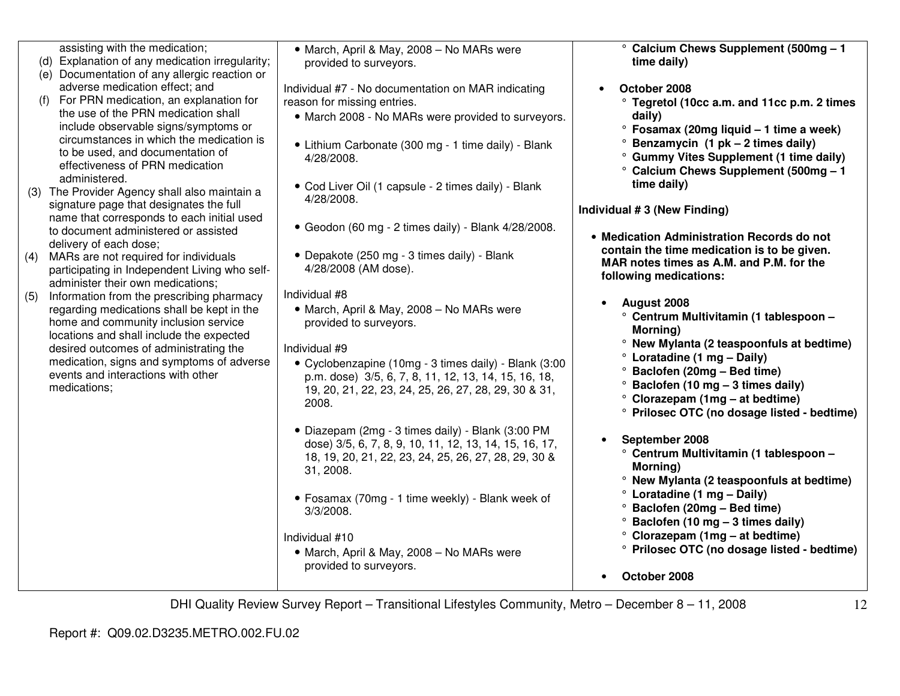|     | assisting with the medication;<br>(d) Explanation of any medication irregularity;<br>(e) Documentation of any allergic reaction or                                          | • March, April & May, 2008 - No MARs were<br>provided to surveyors.                                                                                                              | ° Calcium Chews Supplement (500mg - 1<br>time daily)                                                                                 |
|-----|-----------------------------------------------------------------------------------------------------------------------------------------------------------------------------|----------------------------------------------------------------------------------------------------------------------------------------------------------------------------------|--------------------------------------------------------------------------------------------------------------------------------------|
|     | adverse medication effect; and<br>(f) For PRN medication, an explanation for<br>the use of the PRN medication shall<br>include observable signs/symptoms or                 | Individual #7 - No documentation on MAR indicating<br>reason for missing entries.<br>• March 2008 - No MARs were provided to surveyors.                                          | October 2008<br>° Tegretol (10cc a.m. and 11cc p.m. 2 times<br>daily)<br>° Fosamax (20mg liquid - 1 time a week)                     |
|     | circumstances in which the medication is<br>to be used, and documentation of<br>effectiveness of PRN medication<br>administered.                                            | • Lithium Carbonate (300 mg - 1 time daily) - Blank<br>4/28/2008.                                                                                                                | $\degree$ Benzamycin (1 pk – 2 times daily)<br>° Gummy Vites Supplement (1 time daily)<br>° Calcium Chews Supplement (500mg - 1      |
|     | (3) The Provider Agency shall also maintain a<br>signature page that designates the full                                                                                    | • Cod Liver Oil (1 capsule - 2 times daily) - Blank<br>4/28/2008.                                                                                                                | time daily)<br>Individual #3 (New Finding)                                                                                           |
|     | name that corresponds to each initial used<br>to document administered or assisted<br>delivery of each dose;                                                                | • Geodon (60 mg - 2 times daily) - Blank 4/28/2008.                                                                                                                              | • Medication Administration Records do not                                                                                           |
| (4) | MARs are not required for individuals<br>participating in Independent Living who self-<br>administer their own medications;                                                 | • Depakote (250 mg - 3 times daily) - Blank<br>4/28/2008 (AM dose).                                                                                                              | contain the time medication is to be given.<br>MAR notes times as A.M. and P.M. for the<br>following medications:                    |
| (5) | Information from the prescribing pharmacy<br>regarding medications shall be kept in the<br>home and community inclusion service<br>locations and shall include the expected | Individual #8<br>• March, April & May, 2008 - No MARs were<br>provided to surveyors.                                                                                             | August 2008<br>° Centrum Multivitamin (1 tablespoon -<br>Morning)                                                                    |
|     | desired outcomes of administrating the<br>medication, signs and symptoms of adverse<br>events and interactions with other                                                   | Individual #9<br>• Cyclobenzapine (10mg - 3 times daily) - Blank (3:00<br>p.m. dose) 3/5, 6, 7, 8, 11, 12, 13, 14, 15, 16, 18,                                                   | ° New Mylanta (2 teaspoonfuls at bedtime)<br>° Loratadine (1 mg - Daily)<br><sup>o</sup> Baclofen (20mg - Bed time)                  |
|     | medications;                                                                                                                                                                | 19, 20, 21, 22, 23, 24, 25, 26, 27, 28, 29, 30 & 31,<br>2008.                                                                                                                    | $\degree$ Baclofen (10 mg - 3 times daily)<br>$\degree$ Clorazepam (1mg – at bedtime)<br>° Prilosec OTC (no dosage listed - bedtime) |
|     |                                                                                                                                                                             | · Diazepam (2mg - 3 times daily) - Blank (3:00 PM<br>dose) 3/5, 6, 7, 8, 9, 10, 11, 12, 13, 14, 15, 16, 17,<br>18, 19, 20, 21, 22, 23, 24, 25, 26, 27, 28, 29, 30 &<br>31, 2008. | September 2008<br>° Centrum Multivitamin (1 tablespoon -<br>Morning)<br>° New Mylanta (2 teaspoonfuls at bedtime)                    |
|     |                                                                                                                                                                             | • Fosamax (70mg - 1 time weekly) - Blank week of<br>3/3/2008.                                                                                                                    | ° Loratadine (1 mg - Daily)<br><sup>o</sup> Baclofen (20mg - Bed time)<br>$\degree$ Baclofen (10 mg - 3 times daily)                 |
|     |                                                                                                                                                                             | Individual #10<br>• March, April & May, 2008 - No MARs were<br>provided to surveyors.                                                                                            | ° Clorazepam (1mg - at bedtime)<br>° Prilosec OTC (no dosage listed - bedtime)                                                       |
|     |                                                                                                                                                                             |                                                                                                                                                                                  | October 2008                                                                                                                         |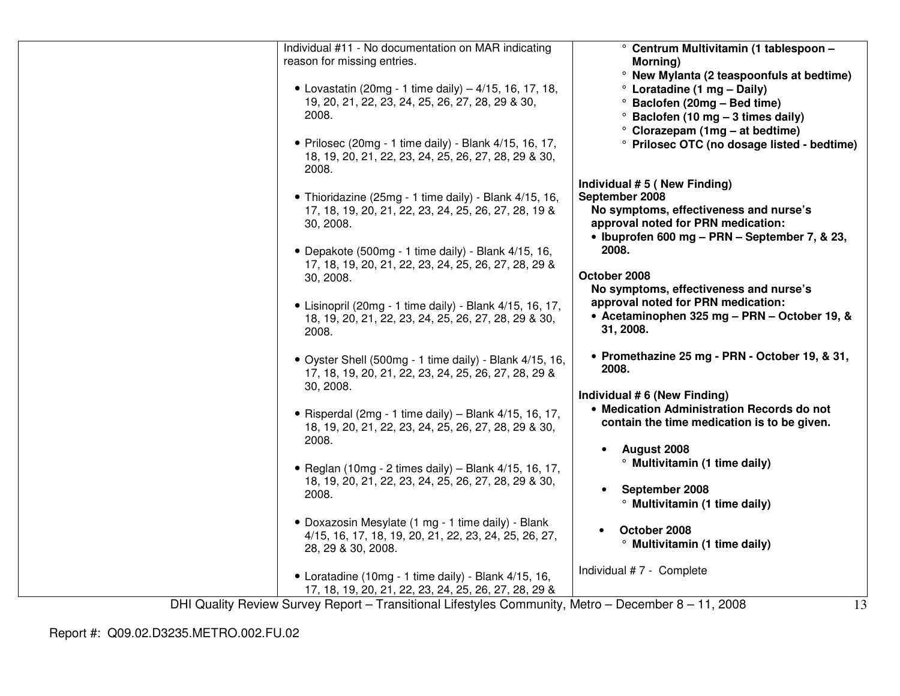| Individual #11 - No documentation on MAR indicating<br>° Centrum Multivitamin (1 tablespoon -<br>reason for missing entries.<br>Morning)<br>° New Mylanta (2 teaspoonfuls at bedtime)<br>• Lovastatin (20mg - 1 time daily) $-4/15$ , 16, 17, 18,<br>° Loratadine (1 mg - Daily)<br>19, 20, 21, 22, 23, 24, 25, 26, 27, 28, 29 & 30,<br><sup>o</sup> Baclofen (20mg - Bed time)<br>2008.<br>$\degree$ Baclofen (10 mg - 3 times daily)<br>$\degree$ Clorazepam (1mg – at bedtime)<br>• Prilosec (20mg - 1 time daily) - Blank 4/15, 16, 17,<br>° Prilosec OTC (no dosage listed - bedtime)<br>18, 19, 20, 21, 22, 23, 24, 25, 26, 27, 28, 29 & 30,<br>2008.<br>Individual #5 (New Finding)<br>September 2008<br>• Thioridazine (25mg - 1 time daily) - Blank 4/15, 16,<br>No symptoms, effectiveness and nurse's<br>17, 18, 19, 20, 21, 22, 23, 24, 25, 26, 27, 28, 19 &<br>approval noted for PRN medication:<br>30, 2008.<br>• Ibuprofen 600 mg - PRN - September 7, & 23,<br>2008.<br>• Depakote (500mg - 1 time daily) - Blank 4/15, 16,<br>17, 18, 19, 20, 21, 22, 23, 24, 25, 26, 27, 28, 29 &<br>October 2008<br>30, 2008.<br>No symptoms, effectiveness and nurse's<br>approval noted for PRN medication:<br>• Lisinopril (20mg - 1 time daily) - Blank 4/15, 16, 17,<br>• Acetaminophen 325 mg - PRN - October 19, &<br>18, 19, 20, 21, 22, 23, 24, 25, 26, 27, 28, 29 & 30,<br>31, 2008.<br>2008.<br>• Promethazine 25 mg - PRN - October 19, & 31,<br>• Oyster Shell (500mg - 1 time daily) - Blank 4/15, 16,<br>2008.<br>17, 18, 19, 20, 21, 22, 23, 24, 25, 26, 27, 28, 29 &<br>30, 2008.<br>Individual # 6 (New Finding)<br>• Medication Administration Records do not<br>• Risperdal (2mg - 1 time daily) – Blank $4/15$ , 16, 17,<br>contain the time medication is to be given.<br>18, 19, 20, 21, 22, 23, 24, 25, 26, 27, 28, 29 & 30,<br>2008.<br>August 2008<br>$\bullet$<br><sup>o</sup> Multivitamin (1 time daily)<br>• Reglan (10mg - 2 times daily) - Blank 4/15, 16, 17,<br>18, 19, 20, 21, 22, 23, 24, 25, 26, 27, 28, 29 & 30,<br>September 2008<br>2008.<br><sup>o</sup> Multivitamin (1 time daily)<br>• Doxazosin Mesylate (1 mg - 1 time daily) - Blank<br>October 2008<br>4/15, 16, 17, 18, 19, 20, 21, 22, 23, 24, 25, 26, 27,<br><sup>o</sup> Multivitamin (1 time daily)<br>28, 29 & 30, 2008.<br>Individual #7 - Complete<br>• Loratadine (10mg - 1 time daily) - Blank 4/15, 16,<br>17, 18, 19, 20, 21, 22, 23, 24, 25, 26, 27, 28, 29 & |  |  |
|--------------------------------------------------------------------------------------------------------------------------------------------------------------------------------------------------------------------------------------------------------------------------------------------------------------------------------------------------------------------------------------------------------------------------------------------------------------------------------------------------------------------------------------------------------------------------------------------------------------------------------------------------------------------------------------------------------------------------------------------------------------------------------------------------------------------------------------------------------------------------------------------------------------------------------------------------------------------------------------------------------------------------------------------------------------------------------------------------------------------------------------------------------------------------------------------------------------------------------------------------------------------------------------------------------------------------------------------------------------------------------------------------------------------------------------------------------------------------------------------------------------------------------------------------------------------------------------------------------------------------------------------------------------------------------------------------------------------------------------------------------------------------------------------------------------------------------------------------------------------------------------------------------------------------------------------------------------------------------------------------------------------------------------------------------------------------------------------------------------------------------------------------------------------------------------------------------------------------------------------------------------------------------------------------------------------------------------------------------------------------------------------------------------------------------------------------------------------------------|--|--|
|                                                                                                                                                                                                                                                                                                                                                                                                                                                                                                                                                                                                                                                                                                                                                                                                                                                                                                                                                                                                                                                                                                                                                                                                                                                                                                                                                                                                                                                                                                                                                                                                                                                                                                                                                                                                                                                                                                                                                                                                                                                                                                                                                                                                                                                                                                                                                                                                                                                                                |  |  |
|                                                                                                                                                                                                                                                                                                                                                                                                                                                                                                                                                                                                                                                                                                                                                                                                                                                                                                                                                                                                                                                                                                                                                                                                                                                                                                                                                                                                                                                                                                                                                                                                                                                                                                                                                                                                                                                                                                                                                                                                                                                                                                                                                                                                                                                                                                                                                                                                                                                                                |  |  |
|                                                                                                                                                                                                                                                                                                                                                                                                                                                                                                                                                                                                                                                                                                                                                                                                                                                                                                                                                                                                                                                                                                                                                                                                                                                                                                                                                                                                                                                                                                                                                                                                                                                                                                                                                                                                                                                                                                                                                                                                                                                                                                                                                                                                                                                                                                                                                                                                                                                                                |  |  |
|                                                                                                                                                                                                                                                                                                                                                                                                                                                                                                                                                                                                                                                                                                                                                                                                                                                                                                                                                                                                                                                                                                                                                                                                                                                                                                                                                                                                                                                                                                                                                                                                                                                                                                                                                                                                                                                                                                                                                                                                                                                                                                                                                                                                                                                                                                                                                                                                                                                                                |  |  |
|                                                                                                                                                                                                                                                                                                                                                                                                                                                                                                                                                                                                                                                                                                                                                                                                                                                                                                                                                                                                                                                                                                                                                                                                                                                                                                                                                                                                                                                                                                                                                                                                                                                                                                                                                                                                                                                                                                                                                                                                                                                                                                                                                                                                                                                                                                                                                                                                                                                                                |  |  |
|                                                                                                                                                                                                                                                                                                                                                                                                                                                                                                                                                                                                                                                                                                                                                                                                                                                                                                                                                                                                                                                                                                                                                                                                                                                                                                                                                                                                                                                                                                                                                                                                                                                                                                                                                                                                                                                                                                                                                                                                                                                                                                                                                                                                                                                                                                                                                                                                                                                                                |  |  |
|                                                                                                                                                                                                                                                                                                                                                                                                                                                                                                                                                                                                                                                                                                                                                                                                                                                                                                                                                                                                                                                                                                                                                                                                                                                                                                                                                                                                                                                                                                                                                                                                                                                                                                                                                                                                                                                                                                                                                                                                                                                                                                                                                                                                                                                                                                                                                                                                                                                                                |  |  |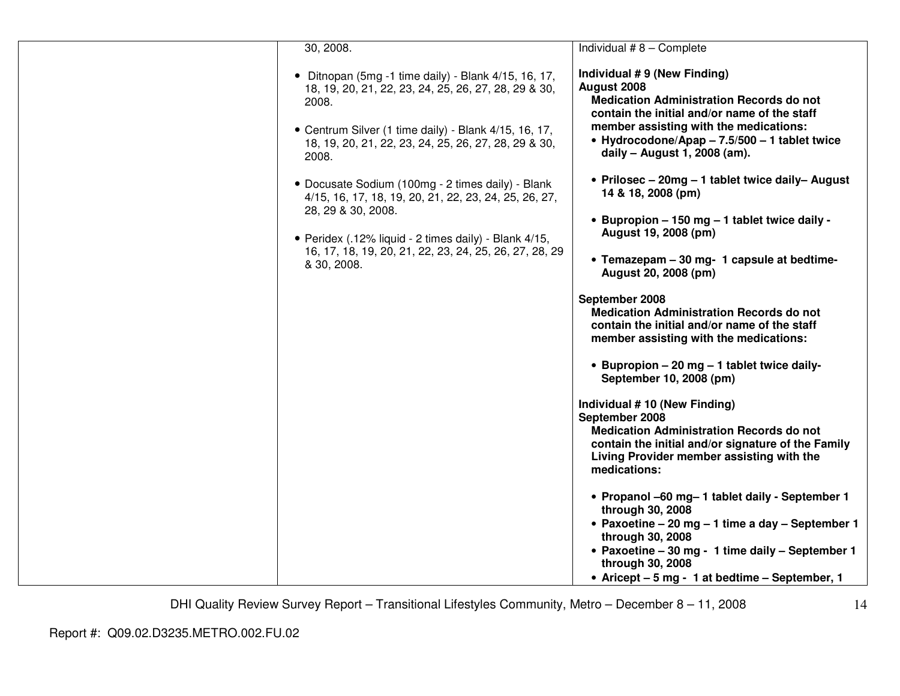| 30, 2008.                                                                                                                        | Individual $#8 -$ Complete                                                                                                                                                              |
|----------------------------------------------------------------------------------------------------------------------------------|-----------------------------------------------------------------------------------------------------------------------------------------------------------------------------------------|
| • Ditnopan (5mg -1 time daily) - Blank $4/15$ , 16, 17,<br>18, 19, 20, 21, 22, 23, 24, 25, 26, 27, 28, 29 & 30,<br>2008.         | Individual #9 (New Finding)<br>August 2008<br><b>Medication Administration Records do not</b><br>contain the initial and/or name of the staff<br>member assisting with the medications: |
| • Centrum Silver (1 time daily) - Blank 4/15, 16, 17,<br>18, 19, 20, 21, 22, 23, 24, 25, 26, 27, 28, 29 & 30,<br>2008.           | • Hydrocodone/Apap - 7.5/500 - 1 tablet twice<br>daily - August 1, 2008 (am).                                                                                                           |
| • Docusate Sodium (100mg - 2 times daily) - Blank<br>4/15, 16, 17, 18, 19, 20, 21, 22, 23, 24, 25, 26, 27,<br>28, 29 & 30, 2008. | • Prilosec – 20mg – 1 tablet twice daily– August<br>14 & 18, 2008 (pm)                                                                                                                  |
| • Peridex (.12% liquid - 2 times daily) - Blank 4/15,<br>16, 17, 18, 19, 20, 21, 22, 23, 24, 25, 26, 27, 28, 29                  | • Bupropion - 150 mg - 1 tablet twice daily -<br>August 19, 2008 (pm)                                                                                                                   |
| & 30, 2008.                                                                                                                      | • Temazepam - 30 mg- 1 capsule at bedtime-<br>August 20, 2008 (pm)<br>September 2008                                                                                                    |
|                                                                                                                                  | <b>Medication Administration Records do not</b><br>contain the initial and/or name of the staff<br>member assisting with the medications:                                               |
|                                                                                                                                  | • Bupropion – 20 mg – 1 tablet twice daily-<br>September 10, 2008 (pm)                                                                                                                  |
|                                                                                                                                  | Individual #10 (New Finding)<br>September 2008                                                                                                                                          |
|                                                                                                                                  | <b>Medication Administration Records do not</b><br>contain the initial and/or signature of the Family<br>Living Provider member assisting with the<br>medications:                      |
|                                                                                                                                  | • Propanol -60 mg- 1 tablet daily - September 1<br>through 30, 2008<br>• Paxoetine - 20 mg - 1 time a day - September 1                                                                 |
|                                                                                                                                  | through 30, 2008<br>• Paxoetine - 30 mg - 1 time daily - September 1<br>through 30, 2008                                                                                                |
|                                                                                                                                  | • Aricept – 5 mg - 1 at bedtime – September, 1                                                                                                                                          |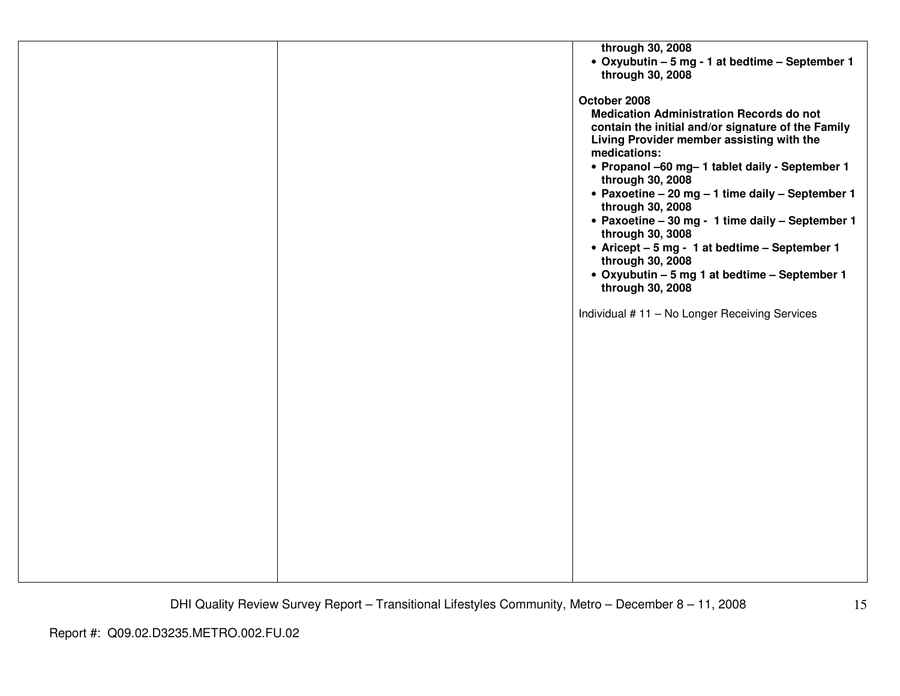|  | through 30, 2008                                   |
|--|----------------------------------------------------|
|  | • Oxyubutin - 5 mg - 1 at bedtime - September 1    |
|  | through 30, 2008                                   |
|  |                                                    |
|  | October 2008                                       |
|  | <b>Medication Administration Records do not</b>    |
|  | contain the initial and/or signature of the Family |
|  | Living Provider member assisting with the          |
|  | medications:                                       |
|  | • Propanol -60 mg-1 tablet daily - September 1     |
|  | through 30, 2008                                   |
|  | • Paxoetine - 20 mg - 1 time daily - September 1   |
|  | through 30, 2008                                   |
|  | • Paxoetine - 30 mg - 1 time daily - September 1   |
|  | through 30, 3008                                   |
|  | • Aricept - 5 mg - 1 at bedtime - September 1      |
|  | through 30, 2008                                   |
|  | • Oxyubutin - 5 mg 1 at bedtime - September 1      |
|  | through 30, 2008                                   |
|  |                                                    |
|  | Individual #11 - No Longer Receiving Services      |
|  |                                                    |
|  |                                                    |
|  |                                                    |
|  |                                                    |
|  |                                                    |
|  |                                                    |
|  |                                                    |
|  |                                                    |
|  |                                                    |
|  |                                                    |
|  |                                                    |
|  |                                                    |
|  |                                                    |
|  |                                                    |
|  |                                                    |
|  |                                                    |
|  |                                                    |
|  |                                                    |
|  |                                                    |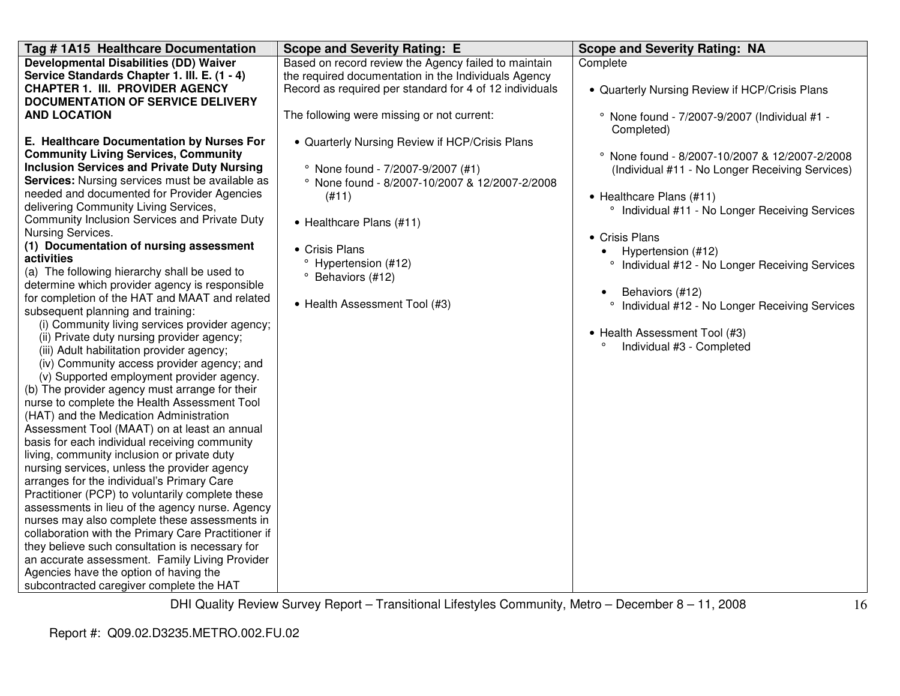| Tag #1A15 Healthcare Documentation                                                                                                                                                                                                                                                                                                                                                                                                                                                                                                                                                                                                                                                                                                                                                                                                                                                                                                                                                                                                                                                                                                                                                                                                                                                                                                                                                                                                                                                                                                                                                                                | <b>Scope and Severity Rating: E</b>                                                                                                                                                                                                                                     | <b>Scope and Severity Rating: NA</b>                                                                                                                                                                                                                                                                                                                                                                                                                        |
|-------------------------------------------------------------------------------------------------------------------------------------------------------------------------------------------------------------------------------------------------------------------------------------------------------------------------------------------------------------------------------------------------------------------------------------------------------------------------------------------------------------------------------------------------------------------------------------------------------------------------------------------------------------------------------------------------------------------------------------------------------------------------------------------------------------------------------------------------------------------------------------------------------------------------------------------------------------------------------------------------------------------------------------------------------------------------------------------------------------------------------------------------------------------------------------------------------------------------------------------------------------------------------------------------------------------------------------------------------------------------------------------------------------------------------------------------------------------------------------------------------------------------------------------------------------------------------------------------------------------|-------------------------------------------------------------------------------------------------------------------------------------------------------------------------------------------------------------------------------------------------------------------------|-------------------------------------------------------------------------------------------------------------------------------------------------------------------------------------------------------------------------------------------------------------------------------------------------------------------------------------------------------------------------------------------------------------------------------------------------------------|
| <b>Developmental Disabilities (DD) Waiver</b><br>Service Standards Chapter 1. III. E. (1 - 4)<br><b>CHAPTER 1. III. PROVIDER AGENCY</b><br><b>DOCUMENTATION OF SERVICE DELIVERY</b><br><b>AND LOCATION</b><br>E. Healthcare Documentation by Nurses For                                                                                                                                                                                                                                                                                                                                                                                                                                                                                                                                                                                                                                                                                                                                                                                                                                                                                                                                                                                                                                                                                                                                                                                                                                                                                                                                                           | Based on record review the Agency failed to maintain<br>the required documentation in the Individuals Agency<br>Record as required per standard for 4 of 12 individuals<br>The following were missing or not current:<br>• Quarterly Nursing Review if HCP/Crisis Plans | Complete<br>• Quarterly Nursing Review if HCP/Crisis Plans<br>° None found - 7/2007-9/2007 (Individual #1 -<br>Completed)                                                                                                                                                                                                                                                                                                                                   |
| <b>Community Living Services, Community</b><br><b>Inclusion Services and Private Duty Nursing</b><br>Services: Nursing services must be available as<br>needed and documented for Provider Agencies<br>delivering Community Living Services,<br>Community Inclusion Services and Private Duty<br>Nursing Services.<br>(1) Documentation of nursing assessment<br>activities<br>(a) The following hierarchy shall be used to<br>determine which provider agency is responsible<br>for completion of the HAT and MAAT and related<br>subsequent planning and training:<br>(i) Community living services provider agency;<br>(ii) Private duty nursing provider agency;<br>(iii) Adult habilitation provider agency;<br>(iv) Community access provider agency; and<br>(v) Supported employment provider agency.<br>(b) The provider agency must arrange for their<br>nurse to complete the Health Assessment Tool<br>(HAT) and the Medication Administration<br>Assessment Tool (MAAT) on at least an annual<br>basis for each individual receiving community<br>living, community inclusion or private duty<br>nursing services, unless the provider agency<br>arranges for the individual's Primary Care<br>Practitioner (PCP) to voluntarily complete these<br>assessments in lieu of the agency nurse. Agency<br>nurses may also complete these assessments in<br>collaboration with the Primary Care Practitioner if<br>they believe such consultation is necessary for<br>an accurate assessment. Family Living Provider<br>Agencies have the option of having the<br>subcontracted caregiver complete the HAT | <sup>o</sup> None found - 7/2007-9/2007 (#1)<br>° None found - 8/2007-10/2007 & 12/2007-2/2008<br>(H11)<br>• Healthcare Plans (#11)<br>• Crisis Plans<br><sup>o</sup> Hypertension (#12)<br><sup>o</sup> Behaviors (#12)<br>• Health Assessment Tool (#3)               | ° None found - 8/2007-10/2007 & 12/2007-2/2008<br>(Individual #11 - No Longer Receiving Services)<br>• Healthcare Plans (#11)<br><sup>o</sup> Individual #11 - No Longer Receiving Services<br>• Crisis Plans<br>Hypertension (#12)<br><sup>o</sup> Individual #12 - No Longer Receiving Services<br>Behaviors (#12)<br><sup>o</sup> Individual #12 - No Longer Receiving Services<br>• Health Assessment Tool (#3)<br>Individual #3 - Completed<br>$\circ$ |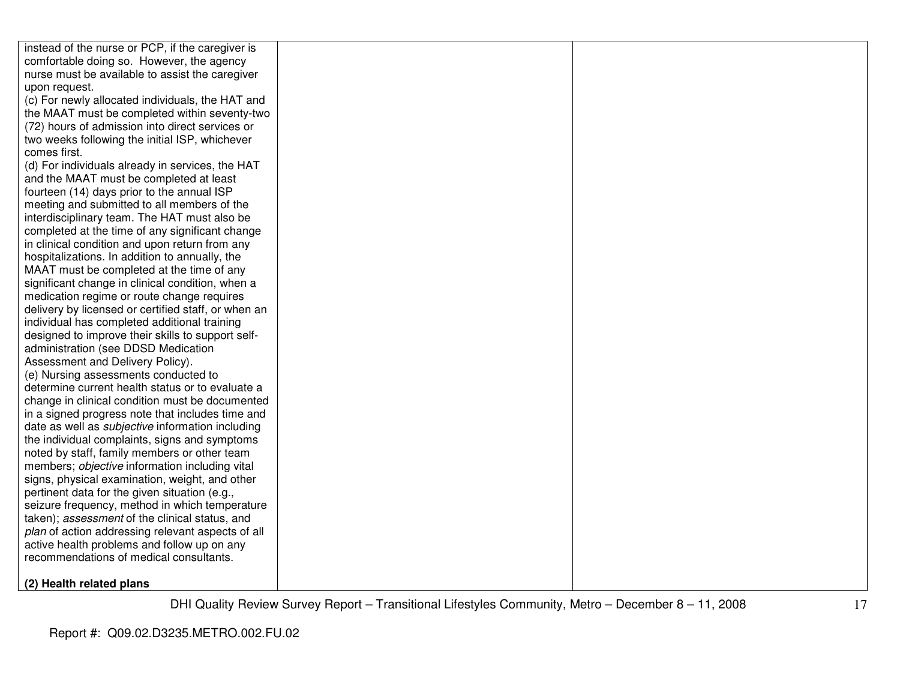| instead of the nurse or PCP, if the caregiver is        |  |
|---------------------------------------------------------|--|
| comfortable doing so. However, the agency               |  |
| nurse must be available to assist the caregiver         |  |
| upon request.                                           |  |
| (c) For newly allocated individuals, the HAT and        |  |
| the MAAT must be completed within seventy-two           |  |
| (72) hours of admission into direct services or         |  |
| two weeks following the initial ISP, whichever          |  |
| comes first.                                            |  |
| (d) For individuals already in services, the HAT        |  |
| and the MAAT must be completed at least                 |  |
| fourteen (14) days prior to the annual ISP              |  |
| meeting and submitted to all members of the             |  |
| interdisciplinary team. The HAT must also be            |  |
| completed at the time of any significant change         |  |
| in clinical condition and upon return from any          |  |
| hospitalizations. In addition to annually, the          |  |
| MAAT must be completed at the time of any               |  |
| significant change in clinical condition, when a        |  |
| medication regime or route change requires              |  |
| delivery by licensed or certified staff, or when an     |  |
| individual has completed additional training            |  |
| designed to improve their skills to support self-       |  |
| administration (see DDSD Medication                     |  |
| Assessment and Delivery Policy).                        |  |
| (e) Nursing assessments conducted to                    |  |
| determine current health status or to evaluate a        |  |
| change in clinical condition must be documented         |  |
| in a signed progress note that includes time and        |  |
| date as well as <i>subjective</i> information including |  |
| the individual complaints, signs and symptoms           |  |
| noted by staff, family members or other team            |  |
| members; objective information including vital          |  |
| signs, physical examination, weight, and other          |  |
| pertinent data for the given situation (e.g.,           |  |
| seizure frequency, method in which temperature          |  |
| taken); assessment of the clinical status, and          |  |
| plan of action addressing relevant aspects of all       |  |
| active health problems and follow up on any             |  |
| recommendations of medical consultants.                 |  |
| $(2)$ Haalth ralatad plane                              |  |

**(2) Health related plans**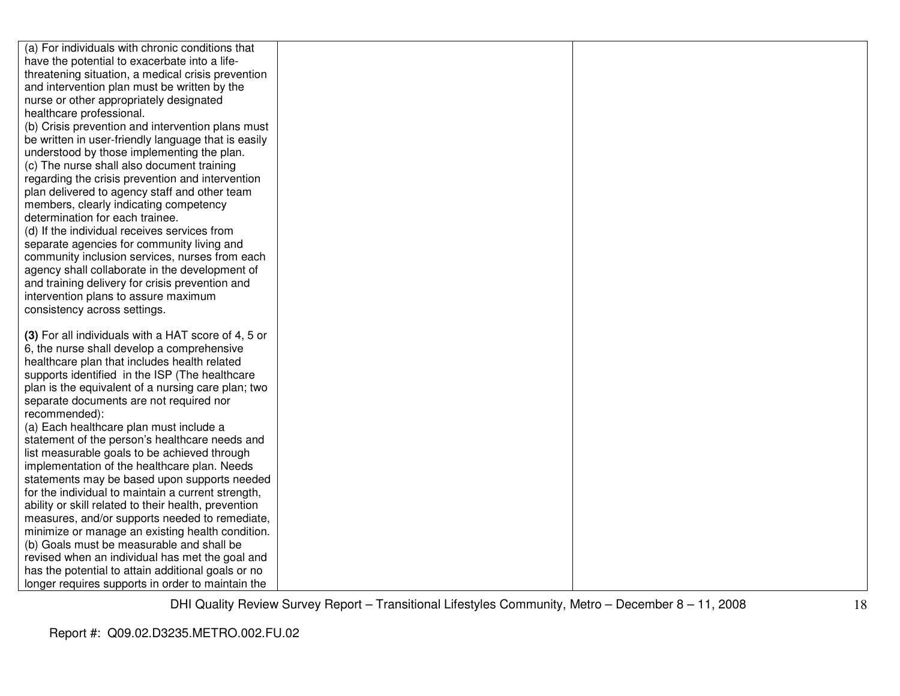| (a) For individuals with chronic conditions that     |  |
|------------------------------------------------------|--|
| have the potential to exacerbate into a life-        |  |
| threatening situation, a medical crisis prevention   |  |
| and intervention plan must be written by the         |  |
| nurse or other appropriately designated              |  |
| healthcare professional.                             |  |
| (b) Crisis prevention and intervention plans must    |  |
| be written in user-friendly language that is easily  |  |
| understood by those implementing the plan.           |  |
| (c) The nurse shall also document training           |  |
| regarding the crisis prevention and intervention     |  |
| plan delivered to agency staff and other team        |  |
| members, clearly indicating competency               |  |
| determination for each trainee.                      |  |
| (d) If the individual receives services from         |  |
| separate agencies for community living and           |  |
| community inclusion services, nurses from each       |  |
| agency shall collaborate in the development of       |  |
| and training delivery for crisis prevention and      |  |
| intervention plans to assure maximum                 |  |
| consistency across settings.                         |  |
|                                                      |  |
| (3) For all individuals with a HAT score of 4, 5 or  |  |
| 6, the nurse shall develop a comprehensive           |  |
| healthcare plan that includes health related         |  |
| supports identified in the ISP (The healthcare       |  |
| plan is the equivalent of a nursing care plan; two   |  |
| separate documents are not required nor              |  |
| recommended):                                        |  |
| (a) Each healthcare plan must include a              |  |
| statement of the person's healthcare needs and       |  |
| list measurable goals to be achieved through         |  |
| implementation of the healthcare plan. Needs         |  |
| statements may be based upon supports needed         |  |
| for the individual to maintain a current strength,   |  |
| ability or skill related to their health, prevention |  |
| measures, and/or supports needed to remediate,       |  |
| minimize or manage an existing health condition.     |  |
| (b) Goals must be measurable and shall be            |  |
| revised when an individual has met the goal and      |  |
| has the potential to attain additional goals or no   |  |
| longer requires supports in order to maintain the    |  |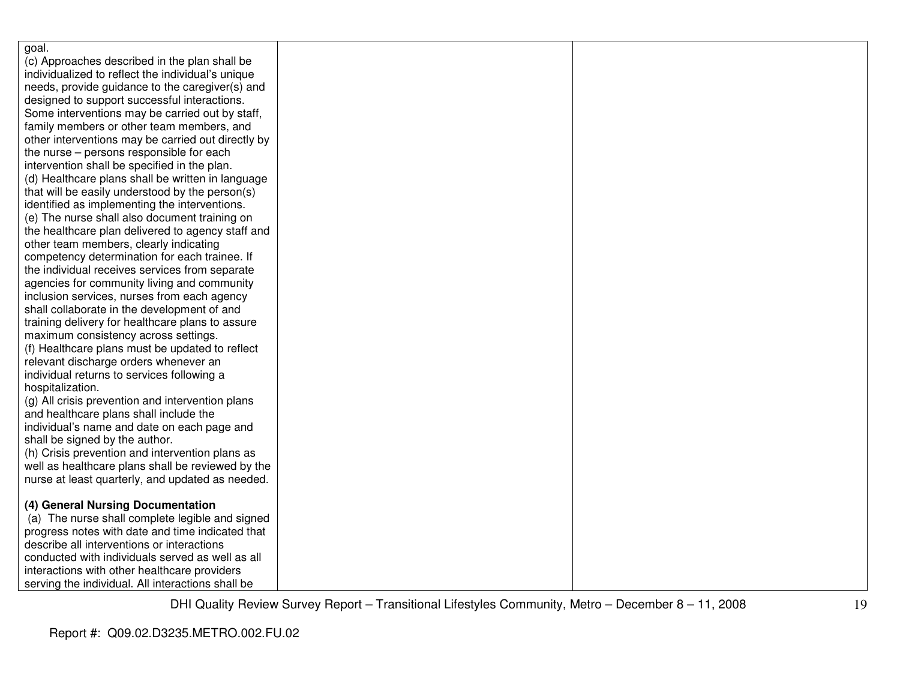| goal.                                              |  |
|----------------------------------------------------|--|
| (c) Approaches described in the plan shall be      |  |
| individualized to reflect the individual's unique  |  |
| needs, provide guidance to the caregiver(s) and    |  |
| designed to support successful interactions.       |  |
| Some interventions may be carried out by staff,    |  |
| family members or other team members, and          |  |
| other interventions may be carried out directly by |  |
| the nurse - persons responsible for each           |  |
| intervention shall be specified in the plan.       |  |
| (d) Healthcare plans shall be written in language  |  |
| that will be easily understood by the person(s)    |  |
| identified as implementing the interventions.      |  |
| (e) The nurse shall also document training on      |  |
| the healthcare plan delivered to agency staff and  |  |
| other team members, clearly indicating             |  |
| competency determination for each trainee. If      |  |
| the individual receives services from separate     |  |
| agencies for community living and community        |  |
| inclusion services, nurses from each agency        |  |
| shall collaborate in the development of and        |  |
| training delivery for healthcare plans to assure   |  |
| maximum consistency across settings.               |  |
| (f) Healthcare plans must be updated to reflect    |  |
| relevant discharge orders whenever an              |  |
| individual returns to services following a         |  |
| hospitalization.                                   |  |
| (g) All crisis prevention and intervention plans   |  |
| and healthcare plans shall include the             |  |
| individual's name and date on each page and        |  |
| shall be signed by the author.                     |  |
| (h) Crisis prevention and intervention plans as    |  |
| well as healthcare plans shall be reviewed by the  |  |
| nurse at least quarterly, and updated as needed.   |  |
|                                                    |  |
| (4) General Nursing Documentation                  |  |
| (a) The nurse shall complete legible and signed    |  |
| progress notes with date and time indicated that   |  |
| describe all interventions or interactions         |  |
| conducted with individuals served as well as all   |  |
| interactions with other healthcare providers       |  |
| serving the individual. All interactions shall be  |  |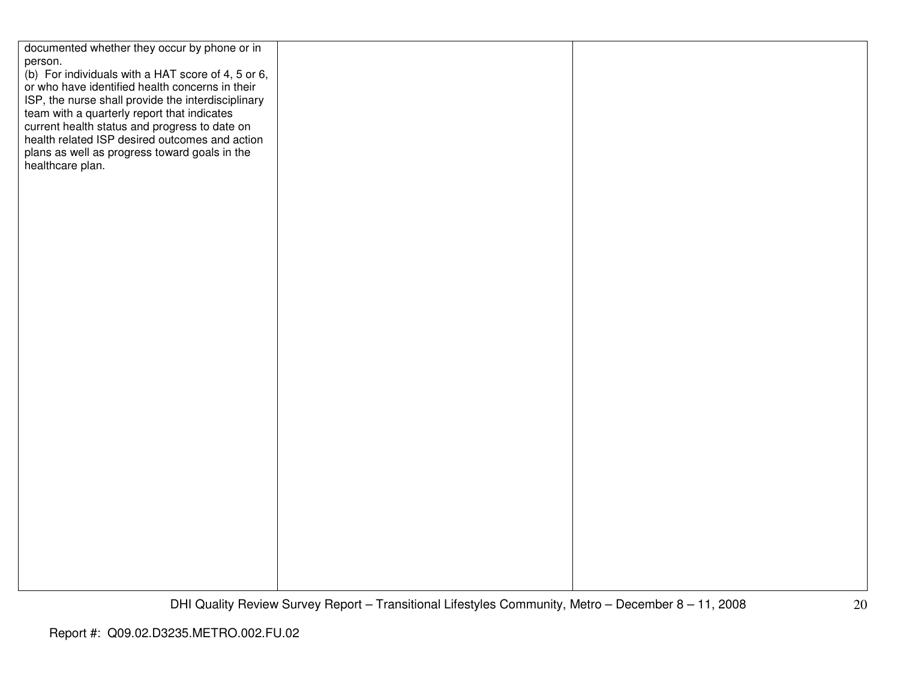| documented whether they occur by phone or in       |  |
|----------------------------------------------------|--|
|                                                    |  |
| person.                                            |  |
| (b) For individuals with a HAT score of 4, 5 or 6, |  |
| or who have identified health concerns in their    |  |
|                                                    |  |
| ISP, the nurse shall provide the interdisciplinary |  |
| team with a quarterly report that indicates        |  |
|                                                    |  |
| current health status and progress to date on      |  |
| health related ISP desired outcomes and action     |  |
| plans as well as progress toward goals in the      |  |
|                                                    |  |
| healthcare plan.                                   |  |
|                                                    |  |
|                                                    |  |
|                                                    |  |
|                                                    |  |
|                                                    |  |
|                                                    |  |
|                                                    |  |
|                                                    |  |
|                                                    |  |
|                                                    |  |
|                                                    |  |
|                                                    |  |
|                                                    |  |
|                                                    |  |
|                                                    |  |
|                                                    |  |
|                                                    |  |
|                                                    |  |
|                                                    |  |
|                                                    |  |
|                                                    |  |
|                                                    |  |
|                                                    |  |
|                                                    |  |
|                                                    |  |
|                                                    |  |
|                                                    |  |
|                                                    |  |
|                                                    |  |
|                                                    |  |
|                                                    |  |
|                                                    |  |
|                                                    |  |
|                                                    |  |
|                                                    |  |
|                                                    |  |
|                                                    |  |
|                                                    |  |
|                                                    |  |
|                                                    |  |
|                                                    |  |
|                                                    |  |
|                                                    |  |
|                                                    |  |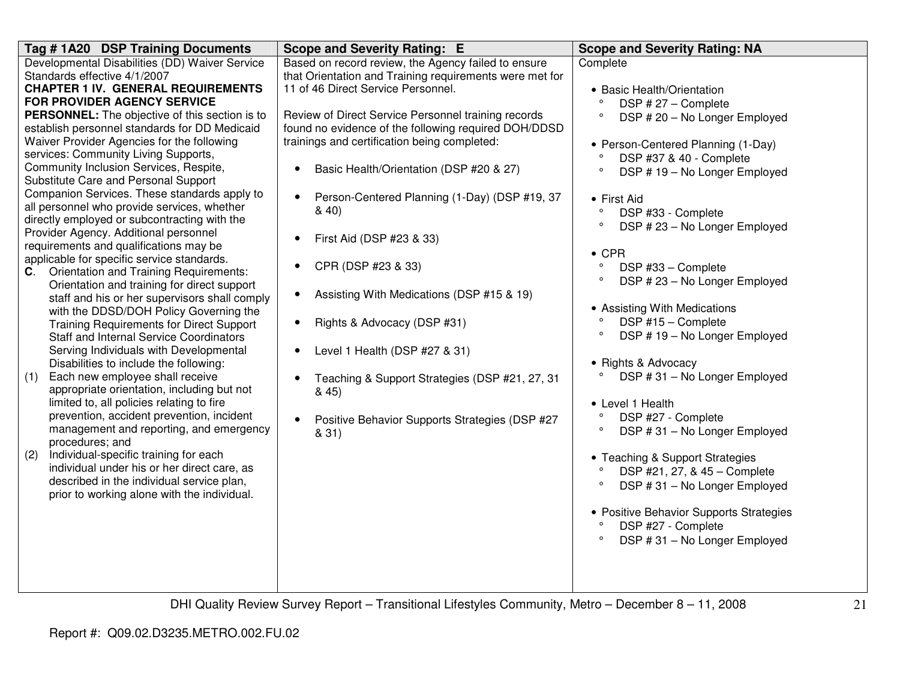| Tag #1A20 DSP Training Documents                                                                  | <b>Scope and Severity Rating: E</b>                         | <b>Scope and Severity Rating: NA</b>                          |
|---------------------------------------------------------------------------------------------------|-------------------------------------------------------------|---------------------------------------------------------------|
| Developmental Disabilities (DD) Waiver Service                                                    | Based on record review, the Agency failed to ensure         | Complete                                                      |
| Standards effective 4/1/2007                                                                      | that Orientation and Training requirements were met for     |                                                               |
| <b>CHAPTER 1 IV. GENERAL REQUIREMENTS</b><br><b>FOR PROVIDER AGENCY SERVICE</b>                   | 11 of 46 Direct Service Personnel.                          | • Basic Health/Orientation<br>$\circ$                         |
| PERSONNEL: The objective of this section is to                                                    | Review of Direct Service Personnel training records         | DSP #27 - Complete<br>DSP #20 - No Longer Employed<br>$\circ$ |
| establish personnel standards for DD Medicaid                                                     | found no evidence of the following required DOH/DDSD        |                                                               |
| Waiver Provider Agencies for the following                                                        | trainings and certification being completed:                | • Person-Centered Planning (1-Day)                            |
| services: Community Living Supports,                                                              |                                                             | DSP #37 & 40 - Complete<br>$\circ$                            |
| Community Inclusion Services, Respite,<br>Substitute Care and Personal Support                    | Basic Health/Orientation (DSP #20 & 27)<br>$\bullet$        | $\circ$<br>DSP #19 - No Longer Employed                       |
| Companion Services. These standards apply to                                                      |                                                             |                                                               |
| all personnel who provide services, whether                                                       | Person-Centered Planning (1-Day) (DSP #19, 37<br>$\bullet$  | • First Aid                                                   |
| directly employed or subcontracting with the                                                      | 840                                                         | $\circ$<br>DSP #33 - Complete                                 |
| Provider Agency. Additional personnel                                                             |                                                             | $\circ$<br>DSP #23 - No Longer Employed                       |
| requirements and qualifications may be                                                            | First Aid (DSP #23 & 33)                                    |                                                               |
| applicable for specific service standards.                                                        |                                                             | $\bullet$ CPR<br>$\circ$                                      |
| Orientation and Training Requirements:<br>C.                                                      | CPR (DSP #23 & 33)<br>$\bullet$                             | DSP #33 - Complete<br>$\circ$                                 |
| Orientation and training for direct support                                                       | Assisting With Medications (DSP #15 & 19)<br>$\bullet$      | DSP #23 - No Longer Employed                                  |
| staff and his or her supervisors shall comply                                                     |                                                             | • Assisting With Medications                                  |
| with the DDSD/DOH Policy Governing the                                                            | Rights & Advocacy (DSP #31)<br>$\bullet$                    | $\circ$<br>DSP #15 - Complete                                 |
| <b>Training Requirements for Direct Support</b><br><b>Staff and Internal Service Coordinators</b> |                                                             | $\circ$<br>DSP #19 - No Longer Employed                       |
| Serving Individuals with Developmental                                                            | Level 1 Health (DSP #27 & 31)                               |                                                               |
| Disabilities to include the following:                                                            |                                                             | • Rights & Advocacy                                           |
| Each new employee shall receive<br>(1)                                                            | Teaching & Support Strategies (DSP #21, 27, 31              | DSP #31 - No Longer Employed                                  |
| appropriate orientation, including but not                                                        | & 45)                                                       |                                                               |
| limited to, all policies relating to fire                                                         |                                                             | • Level 1 Health                                              |
| prevention, accident prevention, incident                                                         | Positive Behavior Supports Strategies (DSP #27<br>$\bullet$ | DSP #27 - Complete<br>$\circ$                                 |
| management and reporting, and emergency                                                           | & 31)                                                       | DSP #31 - No Longer Employed<br>$\circ$                       |
| procedures; and                                                                                   |                                                             |                                                               |
| Individual-specific training for each<br>(2)<br>individual under his or her direct care, as       |                                                             | • Teaching & Support Strategies                               |
| described in the individual service plan,                                                         |                                                             | DSP #21, 27, & 45 - Complete                                  |
| prior to working alone with the individual.                                                       |                                                             | DSP #31 - No Longer Employed<br>$\circ$                       |
|                                                                                                   |                                                             | • Positive Behavior Supports Strategies                       |
|                                                                                                   |                                                             | DSP #27 - Complete<br>$\circ$                                 |
|                                                                                                   |                                                             | $\circ$<br>DSP #31 - No Longer Employed                       |
|                                                                                                   |                                                             |                                                               |
|                                                                                                   |                                                             |                                                               |
|                                                                                                   |                                                             |                                                               |
|                                                                                                   |                                                             |                                                               |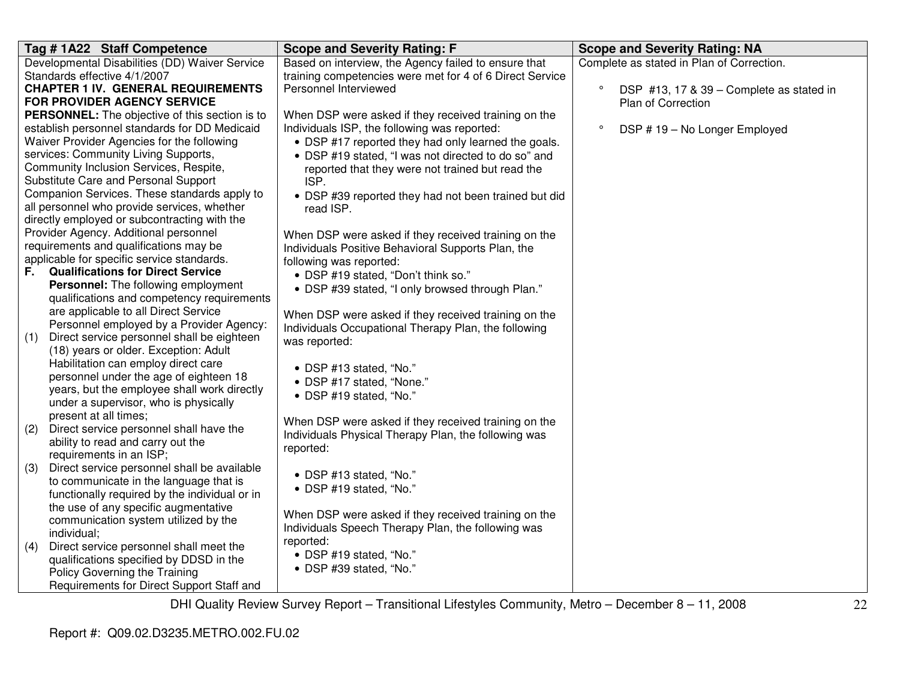|     | Tag # 1A22 Staff Competence                                                      | <b>Scope and Severity Rating: F</b>                      | <b>Scope and Severity Rating: NA</b>                |
|-----|----------------------------------------------------------------------------------|----------------------------------------------------------|-----------------------------------------------------|
|     | Developmental Disabilities (DD) Waiver Service                                   | Based on interview, the Agency failed to ensure that     | Complete as stated in Plan of Correction.           |
|     | Standards effective 4/1/2007                                                     | training competencies were met for 4 of 6 Direct Service |                                                     |
|     | <b>CHAPTER 1 IV. GENERAL REQUIREMENTS</b>                                        | Personnel Interviewed                                    | $\circ$<br>DSP #13, 17 & 39 - Complete as stated in |
|     | FOR PROVIDER AGENCY SERVICE                                                      |                                                          | Plan of Correction                                  |
|     | <b>PERSONNEL:</b> The objective of this section is to                            | When DSP were asked if they received training on the     |                                                     |
|     | establish personnel standards for DD Medicaid                                    | Individuals ISP, the following was reported:             | DSP #19 - No Longer Employed                        |
|     | Waiver Provider Agencies for the following                                       | • DSP #17 reported they had only learned the goals.      |                                                     |
|     | services: Community Living Supports,                                             | • DSP #19 stated, "I was not directed to do so" and      |                                                     |
|     | Community Inclusion Services, Respite,                                           | reported that they were not trained but read the         |                                                     |
|     | Substitute Care and Personal Support                                             | ISP.                                                     |                                                     |
|     | Companion Services. These standards apply to                                     | • DSP #39 reported they had not been trained but did     |                                                     |
|     | all personnel who provide services, whether                                      | read ISP.                                                |                                                     |
|     | directly employed or subcontracting with the                                     |                                                          |                                                     |
|     | Provider Agency. Additional personnel                                            | When DSP were asked if they received training on the     |                                                     |
|     | requirements and qualifications may be                                           | Individuals Positive Behavioral Supports Plan, the       |                                                     |
|     | applicable for specific service standards.                                       | following was reported:                                  |                                                     |
| F.  | <b>Qualifications for Direct Service</b>                                         | • DSP #19 stated, "Don't think so."                      |                                                     |
|     | Personnel: The following employment                                              | • DSP #39 stated, "I only browsed through Plan."         |                                                     |
|     | qualifications and competency requirements                                       |                                                          |                                                     |
|     | are applicable to all Direct Service<br>Personnel employed by a Provider Agency: | When DSP were asked if they received training on the     |                                                     |
| (1) | Direct service personnel shall be eighteen                                       | Individuals Occupational Therapy Plan, the following     |                                                     |
|     | (18) years or older. Exception: Adult                                            | was reported:                                            |                                                     |
|     | Habilitation can employ direct care                                              |                                                          |                                                     |
|     | personnel under the age of eighteen 18                                           | • DSP #13 stated, "No."                                  |                                                     |
|     | years, but the employee shall work directly                                      | • DSP #17 stated, "None."                                |                                                     |
|     | under a supervisor, who is physically                                            | • DSP #19 stated, "No."                                  |                                                     |
|     | present at all times;                                                            |                                                          |                                                     |
| (2) | Direct service personnel shall have the                                          | When DSP were asked if they received training on the     |                                                     |
|     | ability to read and carry out the                                                | Individuals Physical Therapy Plan, the following was     |                                                     |
|     | requirements in an ISP;                                                          | reported:                                                |                                                     |
| (3) | Direct service personnel shall be available                                      |                                                          |                                                     |
|     | to communicate in the language that is                                           | • DSP #13 stated, "No."                                  |                                                     |
|     | functionally required by the individual or in                                    | • DSP #19 stated, "No."                                  |                                                     |
|     | the use of any specific augmentative                                             |                                                          |                                                     |
|     | communication system utilized by the                                             | When DSP were asked if they received training on the     |                                                     |
|     | individual;                                                                      | Individuals Speech Therapy Plan, the following was       |                                                     |
| (4) | Direct service personnel shall meet the                                          | reported:                                                |                                                     |
|     | qualifications specified by DDSD in the                                          | • DSP #19 stated, "No."                                  |                                                     |
|     | Policy Governing the Training                                                    | • DSP #39 stated, "No."                                  |                                                     |
|     | Requirements for Direct Support Staff and                                        |                                                          |                                                     |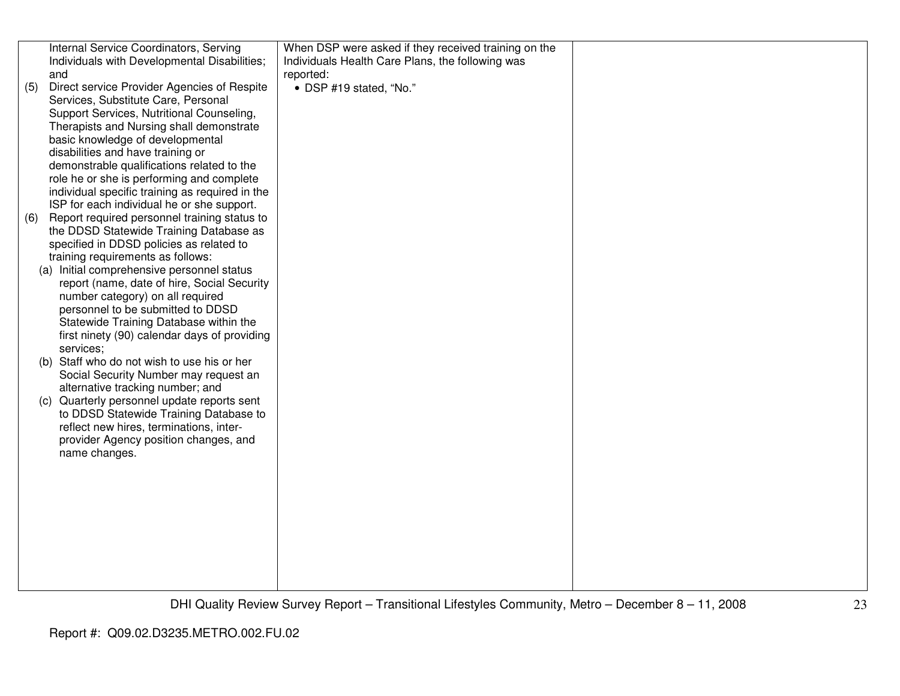|     | Internal Service Coordinators, Serving          | When DSP were asked if they received training on the |  |
|-----|-------------------------------------------------|------------------------------------------------------|--|
|     | Individuals with Developmental Disabilities;    | Individuals Health Care Plans, the following was     |  |
|     | and                                             | reported:                                            |  |
|     |                                                 |                                                      |  |
| (5) | Direct service Provider Agencies of Respite     | • DSP #19 stated, "No."                              |  |
|     | Services, Substitute Care, Personal             |                                                      |  |
|     | Support Services, Nutritional Counseling,       |                                                      |  |
|     | Therapists and Nursing shall demonstrate        |                                                      |  |
|     | basic knowledge of developmental                |                                                      |  |
|     | disabilities and have training or               |                                                      |  |
|     | demonstrable qualifications related to the      |                                                      |  |
|     | role he or she is performing and complete       |                                                      |  |
|     | individual specific training as required in the |                                                      |  |
|     | ISP for each individual he or she support.      |                                                      |  |
| (6) | Report required personnel training status to    |                                                      |  |
|     | the DDSD Statewide Training Database as         |                                                      |  |
|     | specified in DDSD policies as related to        |                                                      |  |
|     | training requirements as follows:               |                                                      |  |
|     | (a) Initial comprehensive personnel status      |                                                      |  |
|     | report (name, date of hire, Social Security     |                                                      |  |
|     | number category) on all required                |                                                      |  |
|     | personnel to be submitted to DDSD               |                                                      |  |
|     | Statewide Training Database within the          |                                                      |  |
|     |                                                 |                                                      |  |
|     | first ninety (90) calendar days of providing    |                                                      |  |
|     | services;                                       |                                                      |  |
|     | (b) Staff who do not wish to use his or her     |                                                      |  |
|     | Social Security Number may request an           |                                                      |  |
|     | alternative tracking number; and                |                                                      |  |
| (C) | Quarterly personnel update reports sent         |                                                      |  |
|     | to DDSD Statewide Training Database to          |                                                      |  |
|     | reflect new hires, terminations, inter-         |                                                      |  |
|     | provider Agency position changes, and           |                                                      |  |
|     | name changes.                                   |                                                      |  |
|     |                                                 |                                                      |  |
|     |                                                 |                                                      |  |
|     |                                                 |                                                      |  |
|     |                                                 |                                                      |  |
|     |                                                 |                                                      |  |
|     |                                                 |                                                      |  |
|     |                                                 |                                                      |  |
|     |                                                 |                                                      |  |
|     |                                                 |                                                      |  |
|     |                                                 |                                                      |  |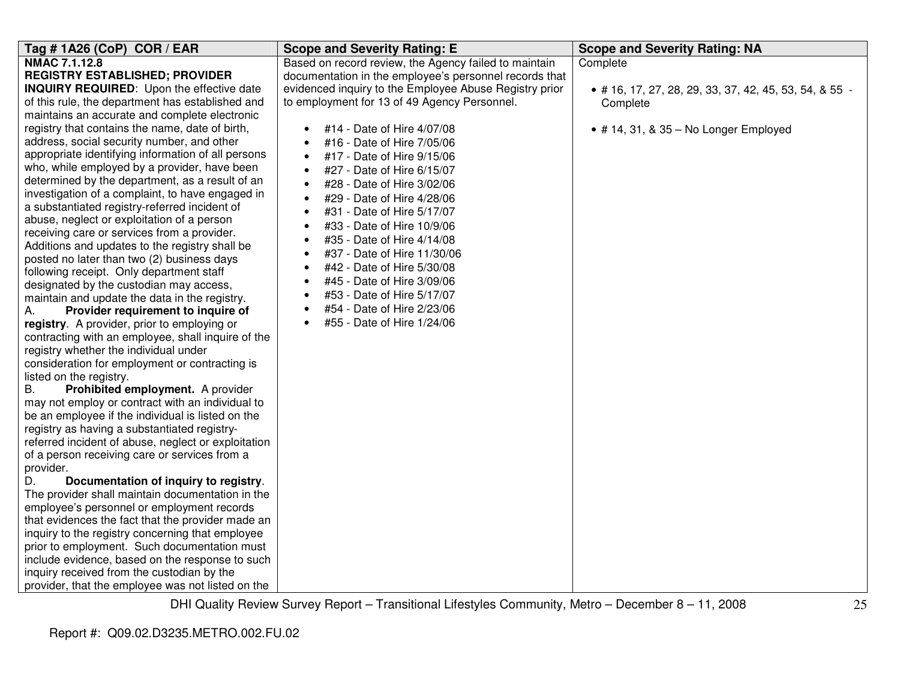| Tag #1A26 (CoP) COR / EAR                                                                                                                                                                                                                                                                                                                                                                                                                                                                                                                                                                                                                                                                                                                                                                                                                                                                                                                                                                                                                                                                                                                                                                                                                                                                                                                                                                                                                                                                                                                                                                                                                                                                                                                                                                                                                                                                                                                                                           | <b>Scope and Severity Rating: E</b>                                                                                                                                                                                                                                                                                                                                                                                                                                                                                                                                                                                                                                                                                                                                                                               | <b>Scope and Severity Rating: NA</b>                                                                                                    |
|-------------------------------------------------------------------------------------------------------------------------------------------------------------------------------------------------------------------------------------------------------------------------------------------------------------------------------------------------------------------------------------------------------------------------------------------------------------------------------------------------------------------------------------------------------------------------------------------------------------------------------------------------------------------------------------------------------------------------------------------------------------------------------------------------------------------------------------------------------------------------------------------------------------------------------------------------------------------------------------------------------------------------------------------------------------------------------------------------------------------------------------------------------------------------------------------------------------------------------------------------------------------------------------------------------------------------------------------------------------------------------------------------------------------------------------------------------------------------------------------------------------------------------------------------------------------------------------------------------------------------------------------------------------------------------------------------------------------------------------------------------------------------------------------------------------------------------------------------------------------------------------------------------------------------------------------------------------------------------------|-------------------------------------------------------------------------------------------------------------------------------------------------------------------------------------------------------------------------------------------------------------------------------------------------------------------------------------------------------------------------------------------------------------------------------------------------------------------------------------------------------------------------------------------------------------------------------------------------------------------------------------------------------------------------------------------------------------------------------------------------------------------------------------------------------------------|-----------------------------------------------------------------------------------------------------------------------------------------|
| NMAC 7.1.12.8<br><b>REGISTRY ESTABLISHED; PROVIDER</b><br><b>INQUIRY REQUIRED:</b> Upon the effective date<br>of this rule, the department has established and<br>maintains an accurate and complete electronic<br>registry that contains the name, date of birth,<br>address, social security number, and other<br>appropriate identifying information of all persons<br>who, while employed by a provider, have been<br>determined by the department, as a result of an<br>investigation of a complaint, to have engaged in<br>a substantiated registry-referred incident of<br>abuse, neglect or exploitation of a person<br>receiving care or services from a provider.<br>Additions and updates to the registry shall be<br>posted no later than two (2) business days<br>following receipt. Only department staff<br>designated by the custodian may access,<br>maintain and update the data in the registry.<br>Provider requirement to inquire of<br>А.<br>registry. A provider, prior to employing or<br>contracting with an employee, shall inquire of the<br>registry whether the individual under<br>consideration for employment or contracting is<br>listed on the registry.<br>Prohibited employment. A provider<br>В.<br>may not employ or contract with an individual to<br>be an employee if the individual is listed on the<br>registry as having a substantiated registry-<br>referred incident of abuse, neglect or exploitation<br>of a person receiving care or services from a<br>provider.<br>Documentation of inquiry to registry.<br>D.<br>The provider shall maintain documentation in the<br>employee's personnel or employment records<br>that evidences the fact that the provider made an<br>inquiry to the registry concerning that employee<br>prior to employment. Such documentation must<br>include evidence, based on the response to such<br>inquiry received from the custodian by the<br>provider, that the employee was not listed on the | Based on record review, the Agency failed to maintain<br>documentation in the employee's personnel records that<br>evidenced inquiry to the Employee Abuse Registry prior<br>to employment for 13 of 49 Agency Personnel.<br>#14 - Date of Hire 4/07/08<br>#16 - Date of Hire 7/05/06<br>#17 - Date of Hire 9/15/06<br>$\bullet$<br>#27 - Date of Hire 6/15/07<br>$\bullet$<br>#28 - Date of Hire 3/02/06<br>$\bullet$<br>#29 - Date of Hire 4/28/06<br>$\bullet$<br>#31 - Date of Hire 5/17/07<br>$\bullet$<br>#33 - Date of Hire 10/9/06<br>#35 - Date of Hire 4/14/08<br>#37 - Date of Hire 11/30/06<br>$\bullet$<br>#42 - Date of Hire 5/30/08<br>$\bullet$<br>#45 - Date of Hire 3/09/06<br>$\bullet$<br>#53 - Date of Hire 5/17/07<br>$\bullet$<br>#54 - Date of Hire 2/23/06<br>#55 - Date of Hire 1/24/06 | Complete<br>$\bullet$ # 16, 17, 27, 28, 29, 33, 37, 42, 45, 53, 54, & 55 -<br>Complete<br>$\bullet$ # 14, 31, & 35 - No Longer Employed |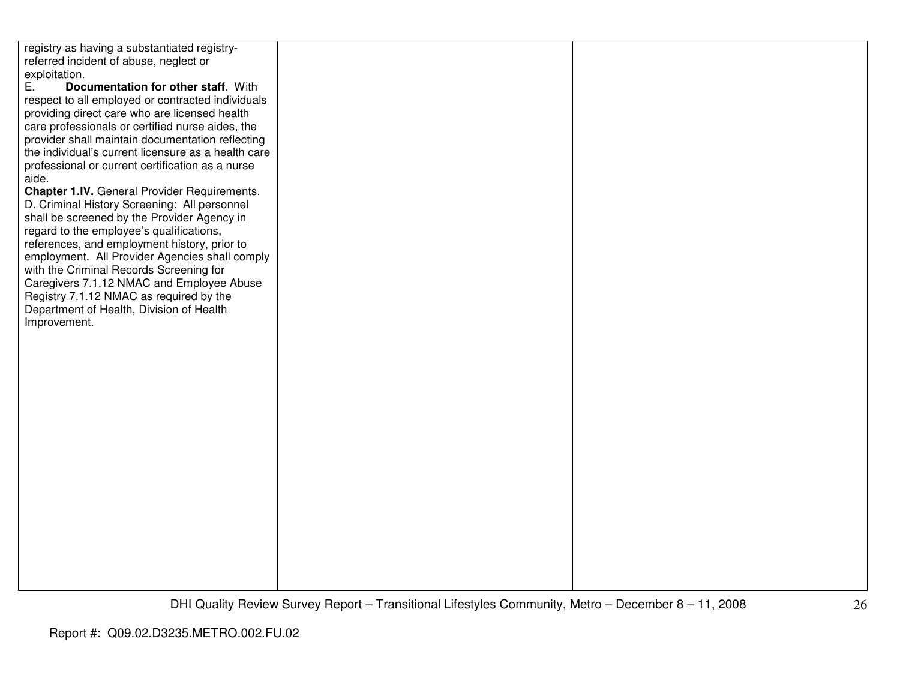registry as having a substantiated registryreferred incident of abuse, neglect or exploitation. E. **Documentation for other staff**. With respect to all employed or contracted individuals providing direct care who are licensed health care professionals or certified nurse aides, the provider shall maintain documentation reflecting the individual's current licensure as a health careprofessional or current certification as a nurse aide. **Chapter 1.IV.** General Provider Requirements. D. Criminal History Screening: All personnel shall be screened by the Provider Agency in regard to the employee's qualifications, references, and employment history, prior to employment. All Provider Agencies shall comply with the Criminal Records Screening for Caregivers 7.1.12 NMAC and Employee Abuse Registry 7.1.12 NMAC as required by the Department of Health, Division of Health Improvement.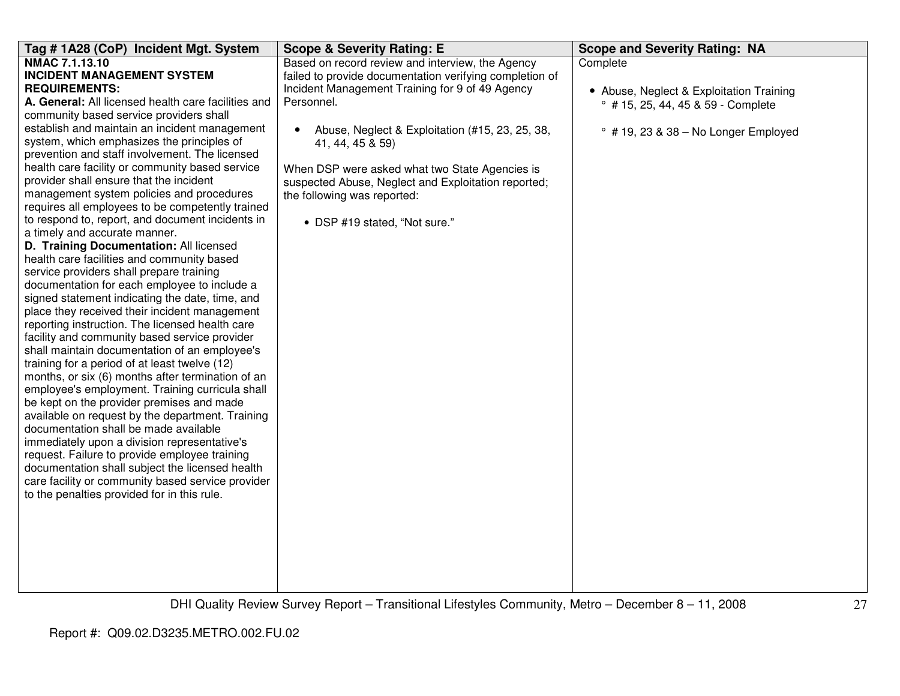| Tag #1A28 (CoP) Incident Mgt. System                                                             | <b>Scope &amp; Severity Rating: E</b>                        | <b>Scope and Severity Rating: NA</b>         |
|--------------------------------------------------------------------------------------------------|--------------------------------------------------------------|----------------------------------------------|
| NMAC 7.1.13.10                                                                                   | Based on record review and interview, the Agency             | Complete                                     |
| <b>INCIDENT MANAGEMENT SYSTEM</b>                                                                | failed to provide documentation verifying completion of      |                                              |
| <b>REQUIREMENTS:</b>                                                                             | Incident Management Training for 9 of 49 Agency              | • Abuse, Neglect & Exploitation Training     |
| A. General: All licensed health care facilities and                                              | Personnel.                                                   | ° #15, 25, 44, 45 & 59 - Complete            |
| community based service providers shall                                                          |                                                              |                                              |
| establish and maintain an incident management                                                    | Abuse, Neglect & Exploitation (#15, 23, 25, 38,<br>$\bullet$ | $\degree$ # 19, 23 & 38 - No Longer Employed |
| system, which emphasizes the principles of                                                       | 41, 44, 45 & 59)                                             |                                              |
| prevention and staff involvement. The licensed                                                   |                                                              |                                              |
| health care facility or community based service                                                  | When DSP were asked what two State Agencies is               |                                              |
| provider shall ensure that the incident                                                          | suspected Abuse, Neglect and Exploitation reported;          |                                              |
| management system policies and procedures                                                        | the following was reported:                                  |                                              |
| requires all employees to be competently trained                                                 |                                                              |                                              |
| to respond to, report, and document incidents in                                                 | • DSP #19 stated, "Not sure."                                |                                              |
| a timely and accurate manner.                                                                    |                                                              |                                              |
| D. Training Documentation: All licensed                                                          |                                                              |                                              |
| health care facilities and community based                                                       |                                                              |                                              |
| service providers shall prepare training                                                         |                                                              |                                              |
| documentation for each employee to include a                                                     |                                                              |                                              |
| signed statement indicating the date, time, and<br>place they received their incident management |                                                              |                                              |
| reporting instruction. The licensed health care                                                  |                                                              |                                              |
| facility and community based service provider                                                    |                                                              |                                              |
| shall maintain documentation of an employee's                                                    |                                                              |                                              |
| training for a period of at least twelve (12)                                                    |                                                              |                                              |
| months, or six (6) months after termination of an                                                |                                                              |                                              |
| employee's employment. Training curricula shall                                                  |                                                              |                                              |
| be kept on the provider premises and made                                                        |                                                              |                                              |
| available on request by the department. Training                                                 |                                                              |                                              |
| documentation shall be made available                                                            |                                                              |                                              |
| immediately upon a division representative's                                                     |                                                              |                                              |
| request. Failure to provide employee training                                                    |                                                              |                                              |
| documentation shall subject the licensed health                                                  |                                                              |                                              |
| care facility or community based service provider                                                |                                                              |                                              |
| to the penalties provided for in this rule.                                                      |                                                              |                                              |
|                                                                                                  |                                                              |                                              |
|                                                                                                  |                                                              |                                              |
|                                                                                                  |                                                              |                                              |
|                                                                                                  |                                                              |                                              |
|                                                                                                  |                                                              |                                              |
|                                                                                                  |                                                              |                                              |
|                                                                                                  |                                                              |                                              |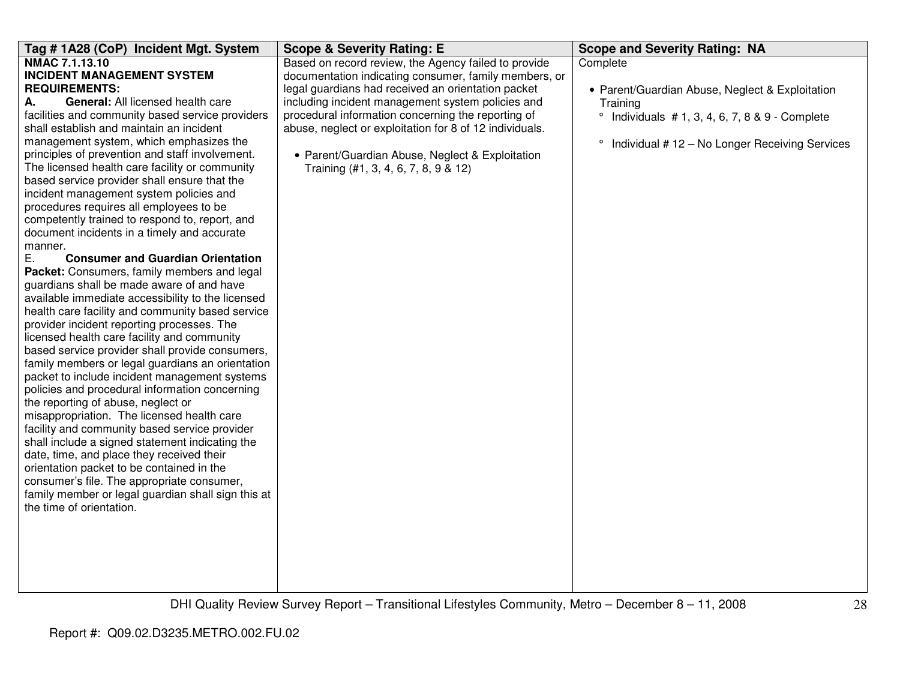| Tag #1A28 (CoP) Incident Mgt. System                                                                                                                                                                                                                                                                                                                                                                                                                                                                                                                                                                                                                                                                                                                                                                                                                                                                                                                                                                                                                                                                                                                                                                                                                                                                                                                                                                                                                                                                                                                                                                     | <b>Scope &amp; Severity Rating: E</b>                                                                                                                                                                                                                                                                                                                                                                                                | <b>Scope and Severity Rating: NA</b>                                                                                                                                                              |
|----------------------------------------------------------------------------------------------------------------------------------------------------------------------------------------------------------------------------------------------------------------------------------------------------------------------------------------------------------------------------------------------------------------------------------------------------------------------------------------------------------------------------------------------------------------------------------------------------------------------------------------------------------------------------------------------------------------------------------------------------------------------------------------------------------------------------------------------------------------------------------------------------------------------------------------------------------------------------------------------------------------------------------------------------------------------------------------------------------------------------------------------------------------------------------------------------------------------------------------------------------------------------------------------------------------------------------------------------------------------------------------------------------------------------------------------------------------------------------------------------------------------------------------------------------------------------------------------------------|--------------------------------------------------------------------------------------------------------------------------------------------------------------------------------------------------------------------------------------------------------------------------------------------------------------------------------------------------------------------------------------------------------------------------------------|---------------------------------------------------------------------------------------------------------------------------------------------------------------------------------------------------|
| NMAC 7.1.13.10<br><b>INCIDENT MANAGEMENT SYSTEM</b><br><b>REQUIREMENTS:</b><br>А.<br>General: All licensed health care<br>facilities and community based service providers<br>shall establish and maintain an incident<br>management system, which emphasizes the<br>principles of prevention and staff involvement.<br>The licensed health care facility or community<br>based service provider shall ensure that the<br>incident management system policies and<br>procedures requires all employees to be<br>competently trained to respond to, report, and<br>document incidents in a timely and accurate<br>manner.<br>Ε.<br><b>Consumer and Guardian Orientation</b><br>Packet: Consumers, family members and legal<br>guardians shall be made aware of and have<br>available immediate accessibility to the licensed<br>health care facility and community based service<br>provider incident reporting processes. The<br>licensed health care facility and community<br>based service provider shall provide consumers,<br>family members or legal guardians an orientation<br>packet to include incident management systems<br>policies and procedural information concerning<br>the reporting of abuse, neglect or<br>misappropriation. The licensed health care<br>facility and community based service provider<br>shall include a signed statement indicating the<br>date, time, and place they received their<br>orientation packet to be contained in the<br>consumer's file. The appropriate consumer,<br>family member or legal guardian shall sign this at<br>the time of orientation. | Based on record review, the Agency failed to provide<br>documentation indicating consumer, family members, or<br>legal guardians had received an orientation packet<br>including incident management system policies and<br>procedural information concerning the reporting of<br>abuse, neglect or exploitation for 8 of 12 individuals.<br>• Parent/Guardian Abuse, Neglect & Exploitation<br>Training (#1, 3, 4, 6, 7, 8, 9 & 12) | Complete<br>• Parent/Guardian Abuse, Neglect & Exploitation<br>Training<br>$\circ$<br>Individuals $# 1, 3, 4, 6, 7, 8 & 9 - Complete$<br>Individual #12 - No Longer Receiving Services<br>$\circ$ |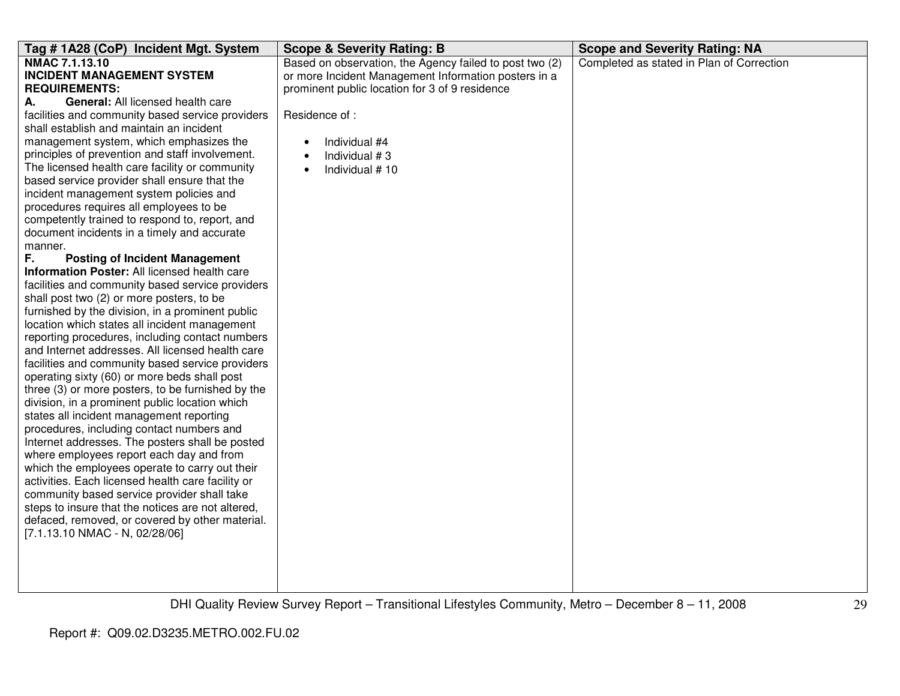| Tag #1A28 (CoP) Incident Mgt. System                                                  | <b>Scope &amp; Severity Rating: B</b>                   | <b>Scope and Severity Rating: NA</b>      |
|---------------------------------------------------------------------------------------|---------------------------------------------------------|-------------------------------------------|
| NMAC 7.1.13.10                                                                        | Based on observation, the Agency failed to post two (2) | Completed as stated in Plan of Correction |
| <b>INCIDENT MANAGEMENT SYSTEM</b>                                                     | or more Incident Management Information posters in a    |                                           |
| <b>REQUIREMENTS:</b>                                                                  | prominent public location for 3 of 9 residence          |                                           |
| General: All licensed health care<br>А.                                               |                                                         |                                           |
| facilities and community based service providers                                      | Residence of :                                          |                                           |
| shall establish and maintain an incident                                              |                                                         |                                           |
| management system, which emphasizes the                                               | Individual #4                                           |                                           |
| principles of prevention and staff involvement.                                       | Individual #3                                           |                                           |
| The licensed health care facility or community                                        | Individual #10<br>$\bullet$                             |                                           |
| based service provider shall ensure that the                                          |                                                         |                                           |
| incident management system policies and                                               |                                                         |                                           |
| procedures requires all employees to be                                               |                                                         |                                           |
| competently trained to respond to, report, and                                        |                                                         |                                           |
| document incidents in a timely and accurate                                           |                                                         |                                           |
| manner.                                                                               |                                                         |                                           |
| F.<br><b>Posting of Incident Management</b>                                           |                                                         |                                           |
| Information Poster: All licensed health care                                          |                                                         |                                           |
| facilities and community based service providers                                      |                                                         |                                           |
| shall post two (2) or more posters, to be                                             |                                                         |                                           |
| furnished by the division, in a prominent public                                      |                                                         |                                           |
| location which states all incident management                                         |                                                         |                                           |
| reporting procedures, including contact numbers                                       |                                                         |                                           |
| and Internet addresses. All licensed health care                                      |                                                         |                                           |
| facilities and community based service providers                                      |                                                         |                                           |
| operating sixty (60) or more beds shall post                                          |                                                         |                                           |
| three (3) or more posters, to be furnished by the                                     |                                                         |                                           |
| division, in a prominent public location which                                        |                                                         |                                           |
| states all incident management reporting<br>procedures, including contact numbers and |                                                         |                                           |
| Internet addresses. The posters shall be posted                                       |                                                         |                                           |
| where employees report each day and from                                              |                                                         |                                           |
| which the employees operate to carry out their                                        |                                                         |                                           |
| activities. Each licensed health care facility or                                     |                                                         |                                           |
| community based service provider shall take                                           |                                                         |                                           |
| steps to insure that the notices are not altered,                                     |                                                         |                                           |
| defaced, removed, or covered by other material.                                       |                                                         |                                           |
| [7.1.13.10 NMAC - N, 02/28/06]                                                        |                                                         |                                           |
|                                                                                       |                                                         |                                           |
|                                                                                       |                                                         |                                           |
|                                                                                       |                                                         |                                           |
|                                                                                       |                                                         |                                           |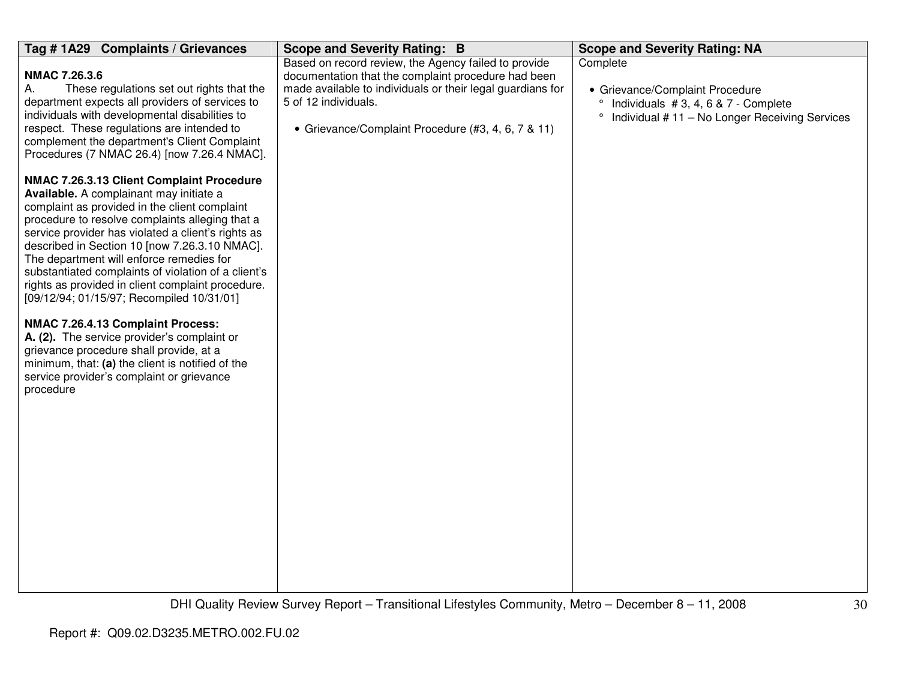| Tag # 1A29<br><b>Complaints / Grievances</b>                                                                                                                                                                                                                                                                                                                                                                                                                                                         | <b>Scope and Severity Rating: B</b>                                                                                                                                                                                                                     | <b>Scope and Severity Rating: NA</b>                                                                                                           |
|------------------------------------------------------------------------------------------------------------------------------------------------------------------------------------------------------------------------------------------------------------------------------------------------------------------------------------------------------------------------------------------------------------------------------------------------------------------------------------------------------|---------------------------------------------------------------------------------------------------------------------------------------------------------------------------------------------------------------------------------------------------------|------------------------------------------------------------------------------------------------------------------------------------------------|
| NMAC 7.26.3.6<br>A.<br>These regulations set out rights that the<br>department expects all providers of services to<br>individuals with developmental disabilities to<br>respect. These regulations are intended to<br>complement the department's Client Complaint<br>Procedures (7 NMAC 26.4) [now 7.26.4 NMAC].                                                                                                                                                                                   | Based on record review, the Agency failed to provide<br>documentation that the complaint procedure had been<br>made available to individuals or their legal guardians for<br>5 of 12 individuals.<br>• Grievance/Complaint Procedure (#3, 4, 6, 7 & 11) | Complete<br>• Grievance/Complaint Procedure<br>Individuals #3, 4, 6 & 7 - Complete<br>Individual #11 - No Longer Receiving Services<br>$\circ$ |
| NMAC 7.26.3.13 Client Complaint Procedure<br>Available. A complainant may initiate a<br>complaint as provided in the client complaint<br>procedure to resolve complaints alleging that a<br>service provider has violated a client's rights as<br>described in Section 10 [now 7.26.3.10 NMAC].<br>The department will enforce remedies for<br>substantiated complaints of violation of a client's<br>rights as provided in client complaint procedure.<br>[09/12/94; 01/15/97; Recompiled 10/31/01] |                                                                                                                                                                                                                                                         |                                                                                                                                                |
| NMAC 7.26.4.13 Complaint Process:<br>A. (2). The service provider's complaint or<br>grievance procedure shall provide, at a<br>minimum, that: (a) the client is notified of the<br>service provider's complaint or grievance<br>procedure                                                                                                                                                                                                                                                            |                                                                                                                                                                                                                                                         |                                                                                                                                                |
|                                                                                                                                                                                                                                                                                                                                                                                                                                                                                                      |                                                                                                                                                                                                                                                         |                                                                                                                                                |
|                                                                                                                                                                                                                                                                                                                                                                                                                                                                                                      |                                                                                                                                                                                                                                                         |                                                                                                                                                |
|                                                                                                                                                                                                                                                                                                                                                                                                                                                                                                      |                                                                                                                                                                                                                                                         |                                                                                                                                                |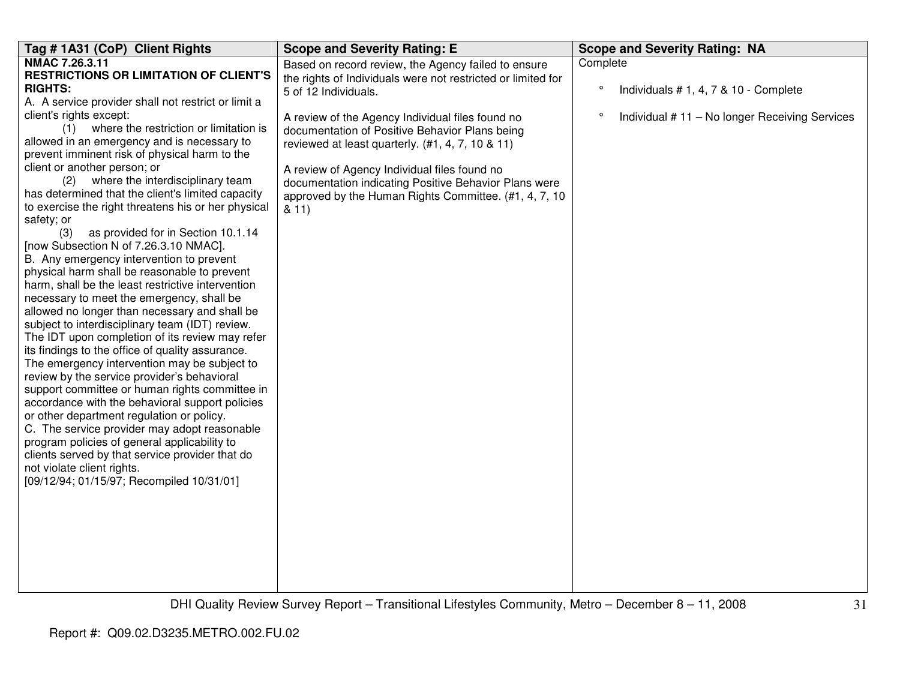| Tag # 1A31 (CoP) Client Rights                                                             | <b>Scope and Severity Rating: E</b>                          | <b>Scope and Severity Rating: NA</b>                     |
|--------------------------------------------------------------------------------------------|--------------------------------------------------------------|----------------------------------------------------------|
| NMAC 7.26.3.11                                                                             | Based on record review, the Agency failed to ensure          | Complete                                                 |
| <b>RESTRICTIONS OR LIMITATION OF CLIENT'S</b>                                              | the rights of Individuals were not restricted or limited for |                                                          |
| <b>RIGHTS:</b>                                                                             | 5 of 12 Individuals.                                         | $\circ$<br>Individuals #1, 4, 7 & 10 - Complete          |
| A. A service provider shall not restrict or limit a                                        |                                                              |                                                          |
| client's rights except:                                                                    | A review of the Agency Individual files found no             | $\circ$<br>Individual #11 - No longer Receiving Services |
| (1) where the restriction or limitation is                                                 | documentation of Positive Behavior Plans being               |                                                          |
| allowed in an emergency and is necessary to                                                | reviewed at least quarterly. (#1, 4, 7, 10 & 11)             |                                                          |
| prevent imminent risk of physical harm to the                                              |                                                              |                                                          |
| client or another person; or                                                               | A review of Agency Individual files found no                 |                                                          |
| where the interdisciplinary team<br>(2)                                                    | documentation indicating Positive Behavior Plans were        |                                                          |
| has determined that the client's limited capacity                                          | approved by the Human Rights Committee. (#1, 4, 7, 10        |                                                          |
| to exercise the right threatens his or her physical                                        | 811)                                                         |                                                          |
| safety; or                                                                                 |                                                              |                                                          |
| as provided for in Section 10.1.14<br>(3)                                                  |                                                              |                                                          |
| [now Subsection N of 7.26.3.10 NMAC].                                                      |                                                              |                                                          |
| B. Any emergency intervention to prevent                                                   |                                                              |                                                          |
| physical harm shall be reasonable to prevent                                               |                                                              |                                                          |
| harm, shall be the least restrictive intervention                                          |                                                              |                                                          |
| necessary to meet the emergency, shall be<br>allowed no longer than necessary and shall be |                                                              |                                                          |
| subject to interdisciplinary team (IDT) review.                                            |                                                              |                                                          |
| The IDT upon completion of its review may refer                                            |                                                              |                                                          |
| its findings to the office of quality assurance.                                           |                                                              |                                                          |
| The emergency intervention may be subject to                                               |                                                              |                                                          |
| review by the service provider's behavioral                                                |                                                              |                                                          |
| support committee or human rights committee in                                             |                                                              |                                                          |
| accordance with the behavioral support policies                                            |                                                              |                                                          |
| or other department regulation or policy.                                                  |                                                              |                                                          |
| C. The service provider may adopt reasonable                                               |                                                              |                                                          |
| program policies of general applicability to                                               |                                                              |                                                          |
| clients served by that service provider that do                                            |                                                              |                                                          |
| not violate client rights.                                                                 |                                                              |                                                          |
| [09/12/94; 01/15/97; Recompiled 10/31/01]                                                  |                                                              |                                                          |
|                                                                                            |                                                              |                                                          |
|                                                                                            |                                                              |                                                          |
|                                                                                            |                                                              |                                                          |
|                                                                                            |                                                              |                                                          |
|                                                                                            |                                                              |                                                          |
|                                                                                            |                                                              |                                                          |
|                                                                                            |                                                              |                                                          |
|                                                                                            |                                                              |                                                          |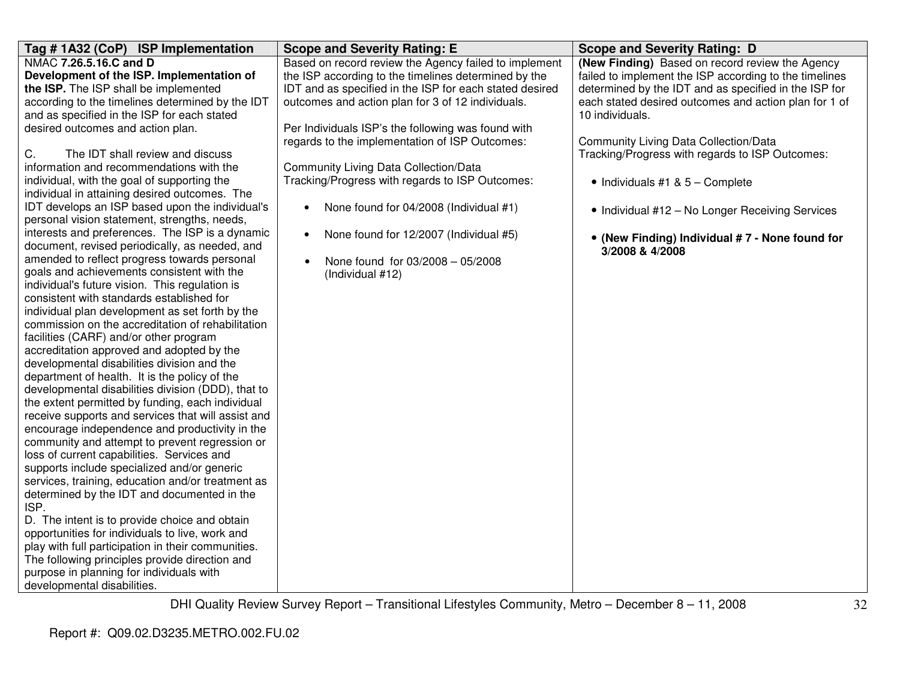| Tag #1A32 (CoP) ISP Implementation                                                                                                                                                                                                                                                                                                                                                                                                                                                                                                                                                                                                                                                                                                                                                                                                                                                                                                                                                                                                                                                                                                                                                                                                                                                                                                                                                                                                                                                                       | <b>Scope and Severity Rating: E</b>                                                                                                                                                                                                                                                                                                                                                 | <b>Scope and Severity Rating: D</b>                                                                                                                                                                                                                                                   |
|----------------------------------------------------------------------------------------------------------------------------------------------------------------------------------------------------------------------------------------------------------------------------------------------------------------------------------------------------------------------------------------------------------------------------------------------------------------------------------------------------------------------------------------------------------------------------------------------------------------------------------------------------------------------------------------------------------------------------------------------------------------------------------------------------------------------------------------------------------------------------------------------------------------------------------------------------------------------------------------------------------------------------------------------------------------------------------------------------------------------------------------------------------------------------------------------------------------------------------------------------------------------------------------------------------------------------------------------------------------------------------------------------------------------------------------------------------------------------------------------------------|-------------------------------------------------------------------------------------------------------------------------------------------------------------------------------------------------------------------------------------------------------------------------------------------------------------------------------------------------------------------------------------|---------------------------------------------------------------------------------------------------------------------------------------------------------------------------------------------------------------------------------------------------------------------------------------|
| NMAC 7.26.5.16.C and D<br>Development of the ISP. Implementation of<br>the ISP. The ISP shall be implemented<br>according to the timelines determined by the IDT                                                                                                                                                                                                                                                                                                                                                                                                                                                                                                                                                                                                                                                                                                                                                                                                                                                                                                                                                                                                                                                                                                                                                                                                                                                                                                                                         | Based on record review the Agency failed to implement<br>the ISP according to the timelines determined by the<br>IDT and as specified in the ISP for each stated desired<br>outcomes and action plan for 3 of 12 individuals.                                                                                                                                                       | (New Finding) Based on record review the Agency<br>failed to implement the ISP according to the timelines<br>determined by the IDT and as specified in the ISP for<br>each stated desired outcomes and action plan for 1 of                                                           |
| and as specified in the ISP for each stated<br>desired outcomes and action plan.<br>C.<br>The IDT shall review and discuss<br>information and recommendations with the<br>individual, with the goal of supporting the<br>individual in attaining desired outcomes. The<br>IDT develops an ISP based upon the individual's<br>personal vision statement, strengths, needs,<br>interests and preferences. The ISP is a dynamic<br>document, revised periodically, as needed, and<br>amended to reflect progress towards personal<br>goals and achievements consistent with the<br>individual's future vision. This regulation is<br>consistent with standards established for<br>individual plan development as set forth by the<br>commission on the accreditation of rehabilitation<br>facilities (CARF) and/or other program<br>accreditation approved and adopted by the<br>developmental disabilities division and the<br>department of health. It is the policy of the<br>developmental disabilities division (DDD), that to<br>the extent permitted by funding, each individual<br>receive supports and services that will assist and<br>encourage independence and productivity in the<br>community and attempt to prevent regression or<br>loss of current capabilities. Services and<br>supports include specialized and/or generic<br>services, training, education and/or treatment as<br>determined by the IDT and documented in the<br>ISP.<br>D. The intent is to provide choice and obtain | Per Individuals ISP's the following was found with<br>regards to the implementation of ISP Outcomes:<br>Community Living Data Collection/Data<br>Tracking/Progress with regards to ISP Outcomes:<br>None found for 04/2008 (Individual #1)<br>$\bullet$<br>None found for 12/2007 (Individual #5)<br>$\bullet$<br>None found for 03/2008 - 05/2008<br>$\bullet$<br>(Individual #12) | 10 individuals.<br><b>Community Living Data Collection/Data</b><br>Tracking/Progress with regards to ISP Outcomes:<br>$\bullet$ Individuals #1 & 5 - Complete<br>• Individual #12 - No Longer Receiving Services<br>• (New Finding) Individual #7 - None found for<br>3/2008 & 4/2008 |
| opportunities for individuals to live, work and<br>play with full participation in their communities.<br>The following principles provide direction and<br>purpose in planning for individuals with                                                                                                                                                                                                                                                                                                                                                                                                                                                                                                                                                                                                                                                                                                                                                                                                                                                                                                                                                                                                                                                                                                                                                                                                                                                                                                      |                                                                                                                                                                                                                                                                                                                                                                                     |                                                                                                                                                                                                                                                                                       |
| developmental disabilities.                                                                                                                                                                                                                                                                                                                                                                                                                                                                                                                                                                                                                                                                                                                                                                                                                                                                                                                                                                                                                                                                                                                                                                                                                                                                                                                                                                                                                                                                              |                                                                                                                                                                                                                                                                                                                                                                                     |                                                                                                                                                                                                                                                                                       |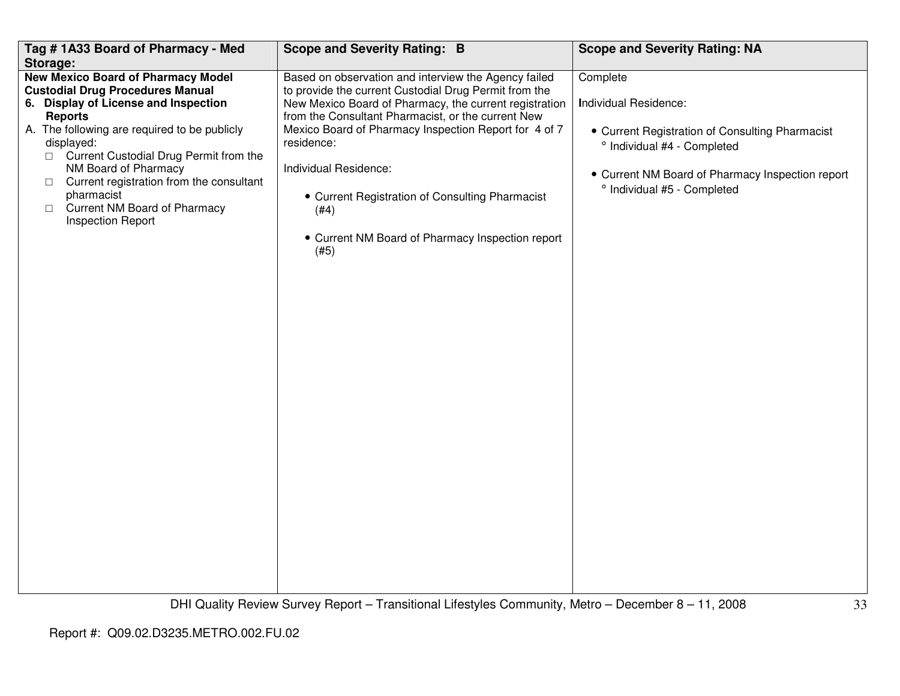| Tag #1A33 Board of Pharmacy - Med<br>Storage:                                                                                                                                                                                                                                                                                                                                                                              | <b>Scope and Severity Rating: B</b>                                                                                                                                                                                                                                                                                                                                                                                                                  | <b>Scope and Severity Rating: NA</b>                                                                                                                                                                   |
|----------------------------------------------------------------------------------------------------------------------------------------------------------------------------------------------------------------------------------------------------------------------------------------------------------------------------------------------------------------------------------------------------------------------------|------------------------------------------------------------------------------------------------------------------------------------------------------------------------------------------------------------------------------------------------------------------------------------------------------------------------------------------------------------------------------------------------------------------------------------------------------|--------------------------------------------------------------------------------------------------------------------------------------------------------------------------------------------------------|
| <b>New Mexico Board of Pharmacy Model</b><br><b>Custodial Drug Procedures Manual</b><br>6. Display of License and Inspection<br><b>Reports</b><br>A. The following are required to be publicly<br>displayed:<br>□ Current Custodial Drug Permit from the<br>NM Board of Pharmacy<br>Current registration from the consultant<br>$\Box$<br>pharmacist<br>Current NM Board of Pharmacy<br>$\Box$<br><b>Inspection Report</b> | Based on observation and interview the Agency failed<br>to provide the current Custodial Drug Permit from the<br>New Mexico Board of Pharmacy, the current registration<br>from the Consultant Pharmacist, or the current New<br>Mexico Board of Pharmacy Inspection Report for 4 of 7<br>residence:<br>Individual Residence:<br>• Current Registration of Consulting Pharmacist<br>(#4)<br>• Current NM Board of Pharmacy Inspection report<br>(#5) | Complete<br>Individual Residence:<br>• Current Registration of Consulting Pharmacist<br>° Individual #4 - Completed<br>• Current NM Board of Pharmacy Inspection report<br>° Individual #5 - Completed |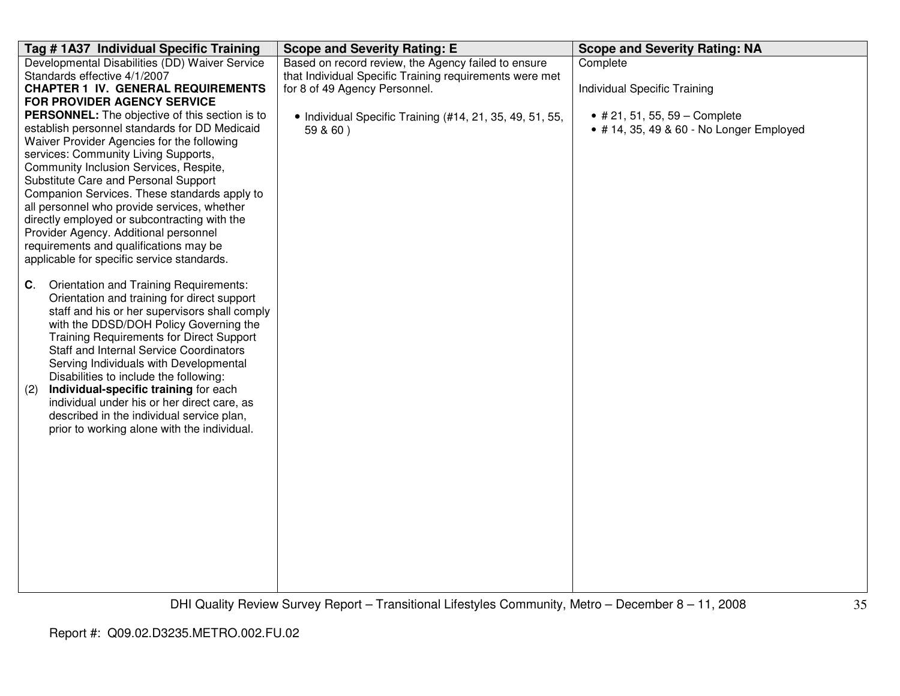| Tag # 1A37 Individual Specific Training                                              | <b>Scope and Severity Rating: E</b>                      | <b>Scope and Severity Rating: NA</b>     |
|--------------------------------------------------------------------------------------|----------------------------------------------------------|------------------------------------------|
| Developmental Disabilities (DD) Waiver Service                                       | Based on record review, the Agency failed to ensure      | Complete                                 |
| Standards effective 4/1/2007                                                         | that Individual Specific Training requirements were met  |                                          |
| <b>CHAPTER 1 IV. GENERAL REQUIREMENTS</b>                                            | for 8 of 49 Agency Personnel.                            | Individual Specific Training             |
| FOR PROVIDER AGENCY SERVICE                                                          |                                                          |                                          |
| <b>PERSONNEL:</b> The objective of this section is to                                | • Individual Specific Training (#14, 21, 35, 49, 51, 55, | • # 21, 51, 55, 59 – Complete            |
| establish personnel standards for DD Medicaid                                        | 59 & 60)                                                 | • # 14, 35, 49 & 60 - No Longer Employed |
| Waiver Provider Agencies for the following                                           |                                                          |                                          |
| services: Community Living Supports,                                                 |                                                          |                                          |
| Community Inclusion Services, Respite,                                               |                                                          |                                          |
| Substitute Care and Personal Support<br>Companion Services. These standards apply to |                                                          |                                          |
| all personnel who provide services, whether                                          |                                                          |                                          |
| directly employed or subcontracting with the                                         |                                                          |                                          |
| Provider Agency. Additional personnel                                                |                                                          |                                          |
| requirements and qualifications may be                                               |                                                          |                                          |
| applicable for specific service standards.                                           |                                                          |                                          |
|                                                                                      |                                                          |                                          |
| Orientation and Training Requirements:<br>$\mathbf{C}$ .                             |                                                          |                                          |
| Orientation and training for direct support                                          |                                                          |                                          |
| staff and his or her supervisors shall comply                                        |                                                          |                                          |
| with the DDSD/DOH Policy Governing the                                               |                                                          |                                          |
| <b>Training Requirements for Direct Support</b>                                      |                                                          |                                          |
| <b>Staff and Internal Service Coordinators</b>                                       |                                                          |                                          |
| Serving Individuals with Developmental                                               |                                                          |                                          |
| Disabilities to include the following:                                               |                                                          |                                          |
| Individual-specific training for each<br>(2)                                         |                                                          |                                          |
| individual under his or her direct care, as                                          |                                                          |                                          |
| described in the individual service plan,                                            |                                                          |                                          |
| prior to working alone with the individual.                                          |                                                          |                                          |
|                                                                                      |                                                          |                                          |
|                                                                                      |                                                          |                                          |
|                                                                                      |                                                          |                                          |
|                                                                                      |                                                          |                                          |
|                                                                                      |                                                          |                                          |
|                                                                                      |                                                          |                                          |
|                                                                                      |                                                          |                                          |
|                                                                                      |                                                          |                                          |
|                                                                                      |                                                          |                                          |
|                                                                                      |                                                          |                                          |
|                                                                                      |                                                          |                                          |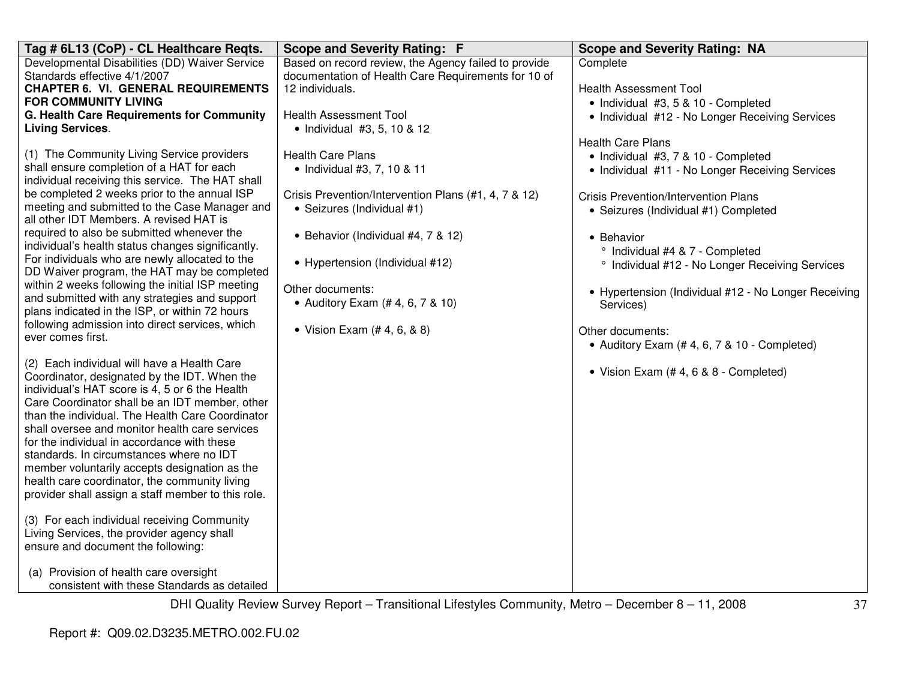| Tag # 6L13 (CoP) - CL Healthcare Reqts.                                                   | <b>Scope and Severity Rating: F</b>                  | <b>Scope and Severity Rating: NA</b>                                 |
|-------------------------------------------------------------------------------------------|------------------------------------------------------|----------------------------------------------------------------------|
| Developmental Disabilities (DD) Waiver Service                                            | Based on record review, the Agency failed to provide | Complete                                                             |
| Standards effective 4/1/2007                                                              | documentation of Health Care Requirements for 10 of  |                                                                      |
| <b>CHAPTER 6. VI. GENERAL REQUIREMENTS</b><br><b>FOR COMMUNITY LIVING</b>                 | 12 individuals.                                      | <b>Health Assessment Tool</b><br>• Individual #3, 5 & 10 - Completed |
| G. Health Care Requirements for Community                                                 | <b>Health Assessment Tool</b>                        | • Individual #12 - No Longer Receiving Services                      |
| <b>Living Services.</b>                                                                   | • Individual #3, 5, 10 & 12                          |                                                                      |
|                                                                                           |                                                      | <b>Health Care Plans</b>                                             |
| (1) The Community Living Service providers                                                | <b>Health Care Plans</b>                             | · Individual #3, 7 & 10 - Completed                                  |
| shall ensure completion of a HAT for each                                                 | • Individual #3, 7, 10 & 11                          | • Individual #11 - No Longer Receiving Services                      |
| individual receiving this service. The HAT shall                                          |                                                      |                                                                      |
| be completed 2 weeks prior to the annual ISP                                              | Crisis Prevention/Intervention Plans (#1, 4, 7 & 12) | <b>Crisis Prevention/Intervention Plans</b>                          |
| meeting and submitted to the Case Manager and<br>all other IDT Members. A revised HAT is  | • Seizures (Individual #1)                           | • Seizures (Individual #1) Completed                                 |
| required to also be submitted whenever the                                                |                                                      |                                                                      |
| individual's health status changes significantly.                                         | • Behavior (Individual #4, 7 & 12)                   | • Behavior                                                           |
| For individuals who are newly allocated to the                                            | • Hypertension (Individual #12)                      | ° Individual #4 & 7 - Completed                                      |
| DD Waiver program, the HAT may be completed                                               |                                                      | <sup>o</sup> Individual #12 - No Longer Receiving Services           |
| within 2 weeks following the initial ISP meeting                                          | Other documents:                                     | • Hypertension (Individual #12 - No Longer Receiving                 |
| and submitted with any strategies and support                                             | • Auditory Exam (# 4, 6, 7 & 10)                     | Services)                                                            |
| plans indicated in the ISP, or within 72 hours                                            |                                                      |                                                                      |
| following admission into direct services, which<br>ever comes first.                      | • Vision Exam $(# 4, 6, 8 8)$                        | Other documents:                                                     |
|                                                                                           |                                                      | • Auditory Exam (#4, 6, 7 & 10 - Completed)                          |
| (2) Each individual will have a Health Care                                               |                                                      |                                                                      |
| Coordinator, designated by the IDT. When the                                              |                                                      | • Vision Exam (#4, 6 & 8 - Completed)                                |
| individual's HAT score is 4, 5 or 6 the Health                                            |                                                      |                                                                      |
| Care Coordinator shall be an IDT member, other                                            |                                                      |                                                                      |
| than the individual. The Health Care Coordinator                                          |                                                      |                                                                      |
| shall oversee and monitor health care services                                            |                                                      |                                                                      |
| for the individual in accordance with these                                               |                                                      |                                                                      |
| standards. In circumstances where no IDT<br>member voluntarily accepts designation as the |                                                      |                                                                      |
| health care coordinator, the community living                                             |                                                      |                                                                      |
| provider shall assign a staff member to this role.                                        |                                                      |                                                                      |
|                                                                                           |                                                      |                                                                      |
| (3) For each individual receiving Community                                               |                                                      |                                                                      |
| Living Services, the provider agency shall                                                |                                                      |                                                                      |
| ensure and document the following:                                                        |                                                      |                                                                      |
|                                                                                           |                                                      |                                                                      |
| (a) Provision of health care oversight<br>consistent with these Standards as detailed     |                                                      |                                                                      |
|                                                                                           |                                                      |                                                                      |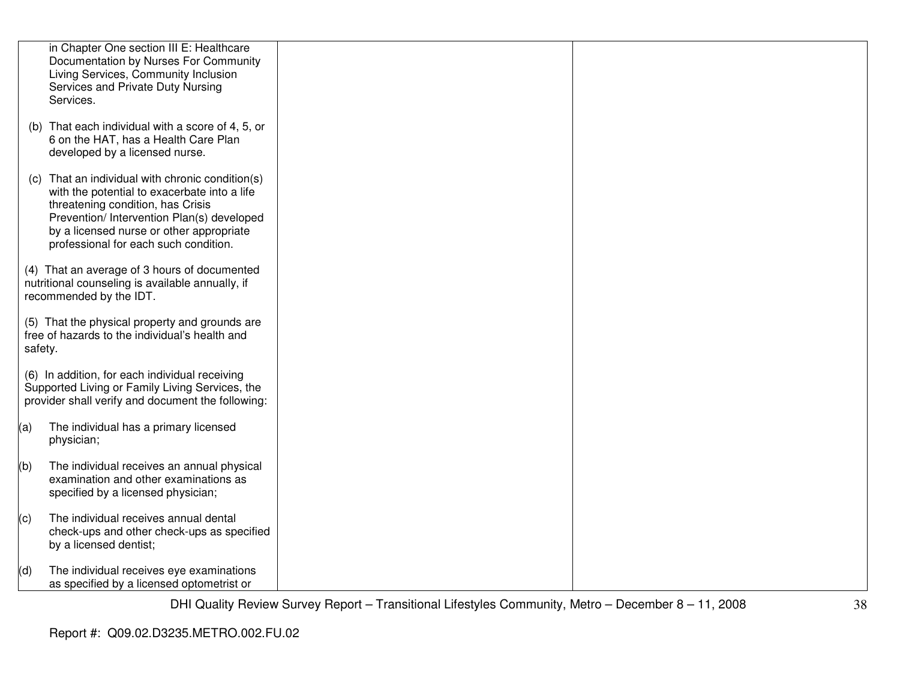|         | in Chapter One section III E: Healthcare<br>Documentation by Nurses For Community<br>Living Services, Community Inclusion<br>Services and Private Duty Nursing<br>Services.                                                                                          |  |
|---------|----------------------------------------------------------------------------------------------------------------------------------------------------------------------------------------------------------------------------------------------------------------------|--|
|         | (b) That each individual with a score of 4, 5, or<br>6 on the HAT, has a Health Care Plan<br>developed by a licensed nurse.                                                                                                                                          |  |
| (C)     | That an individual with chronic condition(s)<br>with the potential to exacerbate into a life<br>threatening condition, has Crisis<br>Prevention/ Intervention Plan(s) developed<br>by a licensed nurse or other appropriate<br>professional for each such condition. |  |
|         | (4) That an average of 3 hours of documented<br>nutritional counseling is available annually, if<br>recommended by the IDT.                                                                                                                                          |  |
| safety. | (5) That the physical property and grounds are<br>free of hazards to the individual's health and                                                                                                                                                                     |  |
|         | (6) In addition, for each individual receiving<br>Supported Living or Family Living Services, the<br>provider shall verify and document the following:                                                                                                               |  |
| (a)     | The individual has a primary licensed<br>physician;                                                                                                                                                                                                                  |  |
| (b)     | The individual receives an annual physical<br>examination and other examinations as<br>specified by a licensed physician;                                                                                                                                            |  |
| (c)     | The individual receives annual dental<br>check-ups and other check-ups as specified<br>by a licensed dentist;                                                                                                                                                        |  |
| (d)     | The individual receives eye examinations<br>as specified by a licensed optometrist or                                                                                                                                                                                |  |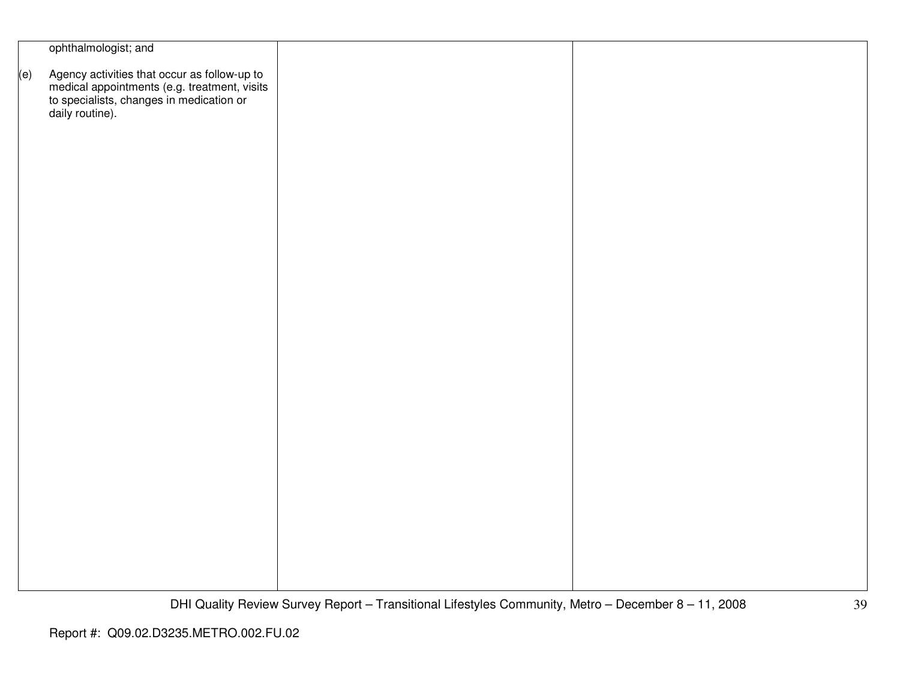|     | ophthalmologist; and                                                                                                                                        |  |
|-----|-------------------------------------------------------------------------------------------------------------------------------------------------------------|--|
| (e) | Agency activities that occur as follow-up to<br>medical appointments (e.g. treatment, visits<br>to specialists, changes in medication or<br>daily routine). |  |
|     |                                                                                                                                                             |  |
|     |                                                                                                                                                             |  |
|     |                                                                                                                                                             |  |
|     |                                                                                                                                                             |  |
|     |                                                                                                                                                             |  |
|     |                                                                                                                                                             |  |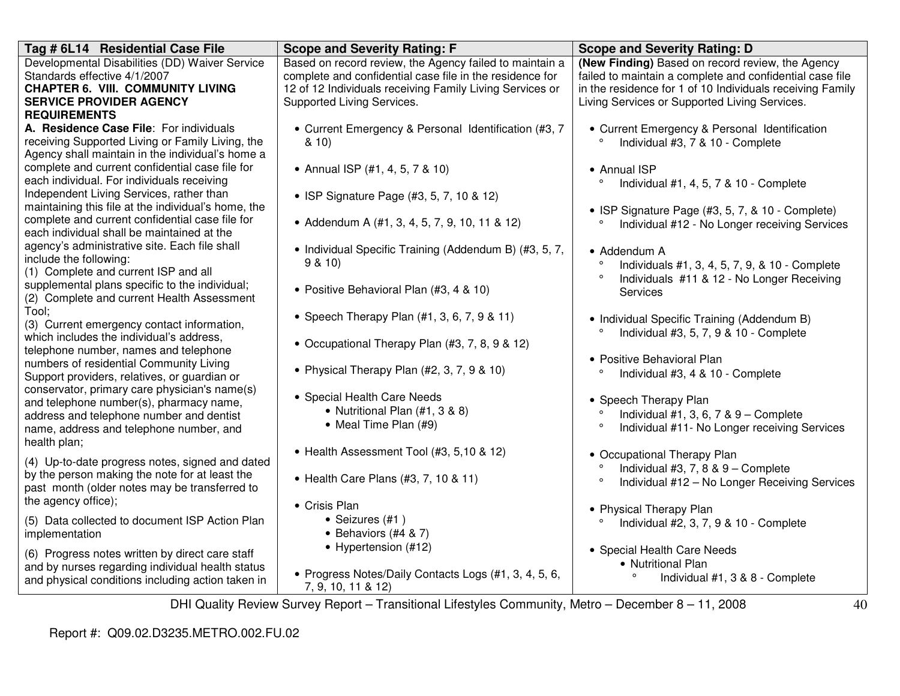| Tag # 6L14 Residential Case File                                 | <b>Scope and Severity Rating: F</b>                      | <b>Scope and Severity Rating: D</b>                       |
|------------------------------------------------------------------|----------------------------------------------------------|-----------------------------------------------------------|
| Developmental Disabilities (DD) Waiver Service                   | Based on record review, the Agency failed to maintain a  | (New Finding) Based on record review, the Agency          |
| Standards effective 4/1/2007                                     | complete and confidential case file in the residence for | failed to maintain a complete and confidential case file  |
| <b>CHAPTER 6. VIII. COMMUNITY LIVING</b>                         | 12 of 12 Individuals receiving Family Living Services or | in the residence for 1 of 10 Individuals receiving Family |
| <b>SERVICE PROVIDER AGENCY</b>                                   | Supported Living Services.                               | Living Services or Supported Living Services.             |
| <b>REQUIREMENTS</b>                                              |                                                          |                                                           |
| A. Residence Case File: For individuals                          | • Current Emergency & Personal Identification (#3, 7     | • Current Emergency & Personal Identification             |
| receiving Supported Living or Family Living, the                 | 810                                                      | Individual #3, 7 & 10 - Complete                          |
| Agency shall maintain in the individual's home a                 |                                                          |                                                           |
| complete and current confidential case file for                  | • Annual ISP (#1, 4, 5, 7 & 10)                          | • Annual ISP                                              |
| each individual. For individuals receiving                       |                                                          | Individual #1, 4, 5, 7 & 10 - Complete<br>$\circ$         |
| Independent Living Services, rather than                         | • ISP Signature Page (#3, 5, 7, 10 & 12)                 |                                                           |
| maintaining this file at the individual's home, the              |                                                          | • ISP Signature Page (#3, 5, 7, & 10 - Complete)          |
| complete and current confidential case file for                  | • Addendum A (#1, 3, 4, 5, 7, 9, 10, 11 & 12)            | Individual #12 - No Longer receiving Services<br>۰        |
| each individual shall be maintained at the                       |                                                          |                                                           |
| agency's administrative site. Each file shall                    | • Individual Specific Training (Addendum B) (#3, 5, 7,   | • Addendum A                                              |
| include the following:                                           | 9 & 10                                                   | Individuals #1, 3, 4, 5, 7, 9, & 10 - Complete            |
| (1) Complete and current ISP and all                             |                                                          | $\circ$<br>Individuals #11 & 12 - No Longer Receiving     |
| supplemental plans specific to the individual;                   | • Positive Behavioral Plan (#3, 4 & 10)                  | <b>Services</b>                                           |
| (2) Complete and current Health Assessment                       |                                                          |                                                           |
| Tool;                                                            | • Speech Therapy Plan $(#1, 3, 6, 7, 9 & 11)$            | • Individual Specific Training (Addendum B)               |
| (3) Current emergency contact information,                       |                                                          | Individual #3, 5, 7, 9 & 10 - Complete                    |
| which includes the individual's address.                         | • Occupational Therapy Plan (#3, 7, 8, 9 & 12)           |                                                           |
| telephone number, names and telephone                            |                                                          | • Positive Behavioral Plan                                |
| numbers of residential Community Living                          | • Physical Therapy Plan $(\#2, 3, 7, 9 \& 10)$           | $\circ$<br>Individual #3, 4 & 10 - Complete               |
| Support providers, relatives, or guardian or                     |                                                          |                                                           |
| conservator, primary care physician's name(s)                    | • Special Health Care Needs                              | • Speech Therapy Plan                                     |
| and telephone number(s), pharmacy name,                          | • Nutritional Plan (#1, 3 & 8)                           | Individual #1, 3, 6, 7 & $9$ – Complete                   |
| address and telephone number and dentist                         | • Meal Time Plan (#9)                                    | $\circ$<br>Individual #11- No Longer receiving Services   |
| name, address and telephone number, and                          |                                                          |                                                           |
| health plan;                                                     | • Health Assessment Tool (#3, 5,10 & 12)                 |                                                           |
| (4) Up-to-date progress notes, signed and dated                  |                                                          | • Occupational Therapy Plan                               |
| by the person making the note for at least the                   | • Health Care Plans (#3, 7, 10 & 11)                     | Individual #3, 7, 8 & 9 - Complete<br>$\circ$             |
| past month (older notes may be transferred to                    |                                                          | Individual #12 - No Longer Receiving Services             |
| the agency office);                                              | • Crisis Plan                                            |                                                           |
|                                                                  | • Seizures (#1)                                          | • Physical Therapy Plan                                   |
| (5) Data collected to document ISP Action Plan<br>implementation | • Behaviors $(#4 \& 7)$                                  | $\circ$<br>Individual #2, 3, 7, 9 & 10 - Complete         |
|                                                                  |                                                          |                                                           |
| (6) Progress notes written by direct care staff                  | • Hypertension (#12)                                     | • Special Health Care Needs                               |
| and by nurses regarding individual health status                 |                                                          | • Nutritional Plan                                        |
| and physical conditions including action taken in                | • Progress Notes/Daily Contacts Logs (#1, 3, 4, 5, 6,    | Individual #1, 3 & 8 - Complete                           |
|                                                                  | 7, 9, 10, 11 & 12)                                       |                                                           |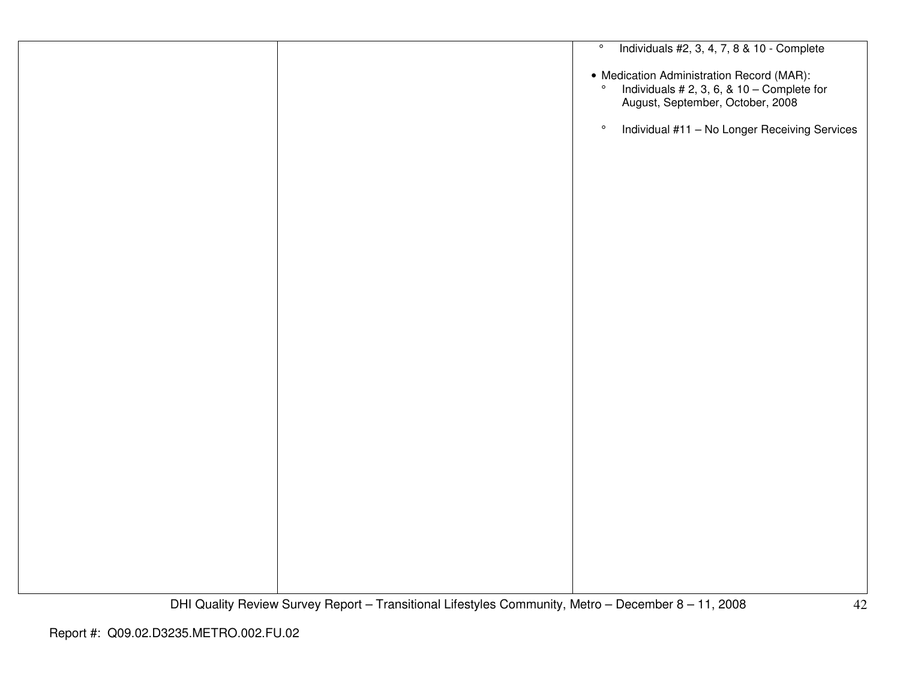|  | Individuals #2, 3, 4, 7, 8 & 10 - Complete<br>$\circ$                                                                                  |
|--|----------------------------------------------------------------------------------------------------------------------------------------|
|  | • Medication Administration Record (MAR):<br>$\circ$<br>Individuals # 2, 3, 6, & 10 - Complete for<br>August, September, October, 2008 |
|  | Individual #11 - No Longer Receiving Services<br>$\circ$                                                                               |
|  |                                                                                                                                        |
|  |                                                                                                                                        |
|  |                                                                                                                                        |
|  |                                                                                                                                        |
|  |                                                                                                                                        |
|  |                                                                                                                                        |
|  |                                                                                                                                        |
|  |                                                                                                                                        |
|  |                                                                                                                                        |
|  |                                                                                                                                        |
|  |                                                                                                                                        |
|  |                                                                                                                                        |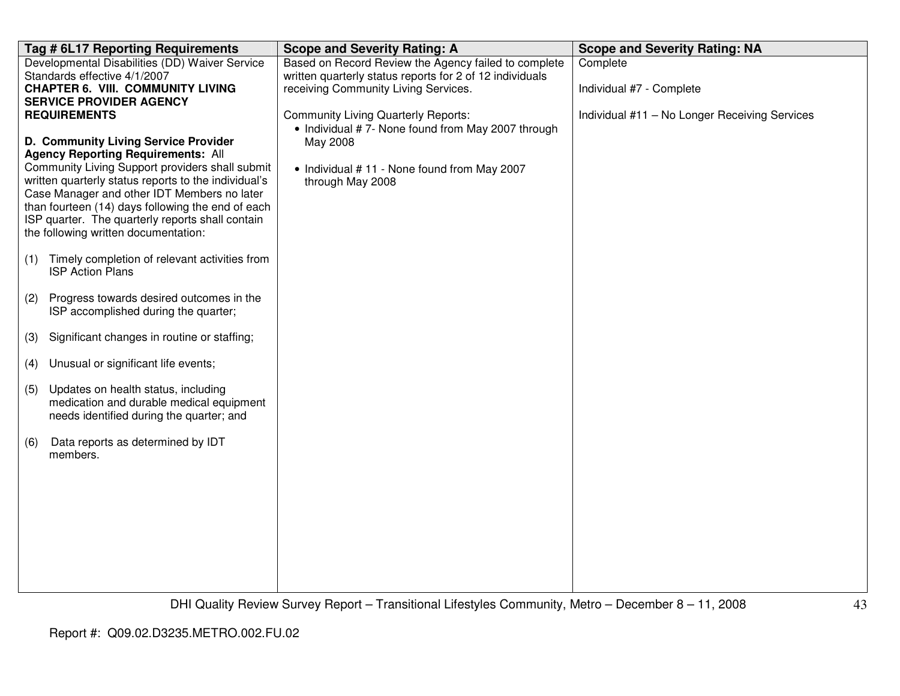| <b>Scope and Severity Rating: A</b>                                                                                                            | <b>Scope and Severity Rating: NA</b>                                                                                                                                                                                                                                                                                       |
|------------------------------------------------------------------------------------------------------------------------------------------------|----------------------------------------------------------------------------------------------------------------------------------------------------------------------------------------------------------------------------------------------------------------------------------------------------------------------------|
| written quarterly status reports for 2 of 12 individuals<br>receiving Community Living Services.<br><b>Community Living Quarterly Reports:</b> | Complete<br>Individual #7 - Complete<br>Individual #11 - No Longer Receiving Services                                                                                                                                                                                                                                      |
| May 2008<br>• Individual #11 - None found from May 2007<br>through May 2008                                                                    |                                                                                                                                                                                                                                                                                                                            |
|                                                                                                                                                |                                                                                                                                                                                                                                                                                                                            |
|                                                                                                                                                |                                                                                                                                                                                                                                                                                                                            |
|                                                                                                                                                |                                                                                                                                                                                                                                                                                                                            |
|                                                                                                                                                |                                                                                                                                                                                                                                                                                                                            |
|                                                                                                                                                |                                                                                                                                                                                                                                                                                                                            |
|                                                                                                                                                |                                                                                                                                                                                                                                                                                                                            |
| Case Manager and other IDT Members no later<br>medication and durable medical equipment                                                        | Based on Record Review the Agency failed to complete<br>• Individual #7- None found from May 2007 through<br>Community Living Support providers shall submit<br>written quarterly status reports to the individual's<br>than fourteen (14) days following the end of each<br>Timely completion of relevant activities from |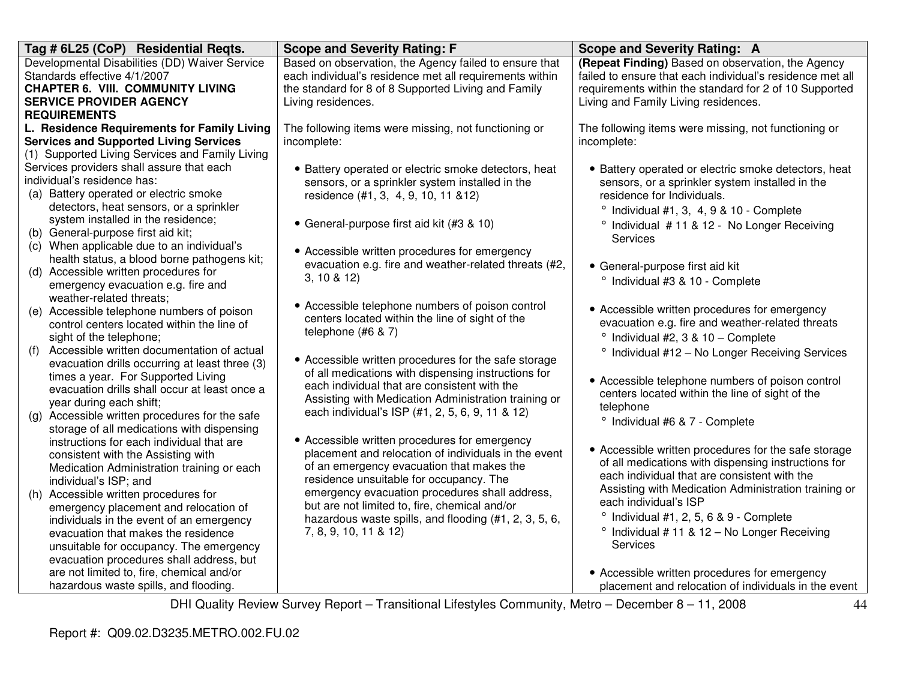| Tag # 6L25 (CoP) Residential Regts.                                                      | <b>Scope and Severity Rating: F</b>                     | Scope and Severity Rating: A                               |
|------------------------------------------------------------------------------------------|---------------------------------------------------------|------------------------------------------------------------|
| Developmental Disabilities (DD) Waiver Service                                           | Based on observation, the Agency failed to ensure that  | (Repeat Finding) Based on observation, the Agency          |
| Standards effective 4/1/2007                                                             | each individual's residence met all requirements within | failed to ensure that each individual's residence met all  |
| <b>CHAPTER 6. VIII. COMMUNITY LIVING</b>                                                 | the standard for 8 of 8 Supported Living and Family     | requirements within the standard for 2 of 10 Supported     |
| <b>SERVICE PROVIDER AGENCY</b>                                                           | Living residences.                                      | Living and Family Living residences.                       |
| <b>REQUIREMENTS</b>                                                                      |                                                         |                                                            |
| L. Residence Requirements for Family Living                                              | The following items were missing, not functioning or    | The following items were missing, not functioning or       |
| <b>Services and Supported Living Services</b>                                            | incomplete:                                             | incomplete:                                                |
| (1) Supported Living Services and Family Living                                          |                                                         |                                                            |
| Services providers shall assure that each                                                | • Battery operated or electric smoke detectors, heat    | • Battery operated or electric smoke detectors, heat       |
| individual's residence has:                                                              | sensors, or a sprinkler system installed in the         | sensors, or a sprinkler system installed in the            |
| (a) Battery operated or electric smoke                                                   | residence (#1, 3, 4, 9, 10, 11 & 12)                    | residence for Individuals.                                 |
| detectors, heat sensors, or a sprinkler                                                  |                                                         | $^{\circ}$ Individual #1, 3, 4, 9 & 10 - Complete          |
| system installed in the residence;                                                       | • General-purpose first aid kit (#3 & 10)               | <sup>o</sup> Individual #11 & 12 - No Longer Receiving     |
| (b) General-purpose first aid kit;                                                       |                                                         | <b>Services</b>                                            |
| (c) When applicable due to an individual's                                               | • Accessible written procedures for emergency           |                                                            |
| health status, a blood borne pathogens kit;                                              | evacuation e.g. fire and weather-related threats (#2,   | • General-purpose first aid kit                            |
| (d) Accessible written procedures for                                                    | 3, 10 & 8 & 12                                          | ° Individual #3 & 10 - Complete                            |
| emergency evacuation e.g. fire and                                                       |                                                         |                                                            |
| weather-related threats;                                                                 | • Accessible telephone numbers of poison control        | • Accessible written procedures for emergency              |
| (e) Accessible telephone numbers of poison<br>control centers located within the line of | centers located within the line of sight of the         | evacuation e.g. fire and weather-related threats           |
| sight of the telephone;                                                                  | telephone (#6 & 7)                                      | ° Individual #2, 3 & 10 - Complete                         |
| Accessible written documentation of actual<br>(f)                                        |                                                         |                                                            |
| evacuation drills occurring at least three (3)                                           | • Accessible written procedures for the safe storage    | <sup>o</sup> Individual #12 - No Longer Receiving Services |
| times a year. For Supported Living                                                       | of all medications with dispensing instructions for     |                                                            |
| evacuation drills shall occur at least once a                                            | each individual that are consistent with the            | • Accessible telephone numbers of poison control           |
| year during each shift;                                                                  | Assisting with Medication Administration training or    | centers located within the line of sight of the            |
| (g) Accessible written procedures for the safe                                           | each individual's ISP (#1, 2, 5, 6, 9, 11 & 12)         | telephone                                                  |
| storage of all medications with dispensing                                               |                                                         | ° Individual #6 & 7 - Complete                             |
| instructions for each individual that are                                                | • Accessible written procedures for emergency           |                                                            |
| consistent with the Assisting with                                                       | placement and relocation of individuals in the event    | • Accessible written procedures for the safe storage       |
| Medication Administration training or each                                               | of an emergency evacuation that makes the               | of all medications with dispensing instructions for        |
| individual's ISP; and                                                                    | residence unsuitable for occupancy. The                 | each individual that are consistent with the               |
| (h) Accessible written procedures for                                                    | emergency evacuation procedures shall address,          | Assisting with Medication Administration training or       |
| emergency placement and relocation of                                                    | but are not limited to, fire, chemical and/or           | each individual's ISP                                      |
| individuals in the event of an emergency                                                 | hazardous waste spills, and flooding (#1, 2, 3, 5, 6,   | $^{\circ}$ Individual #1, 2, 5, 6 & 9 - Complete           |
| evacuation that makes the residence                                                      | 7, 8, 9, 10, 11 & 12)                                   | <sup>o</sup> Individual # 11 & 12 - No Longer Receiving    |
| unsuitable for occupancy. The emergency                                                  |                                                         | Services                                                   |
| evacuation procedures shall address, but                                                 |                                                         |                                                            |
| are not limited to, fire, chemical and/or                                                |                                                         | • Accessible written procedures for emergency              |
| hazardous waste spills, and flooding.                                                    |                                                         | placement and relocation of individuals in the event       |
|                                                                                          |                                                         |                                                            |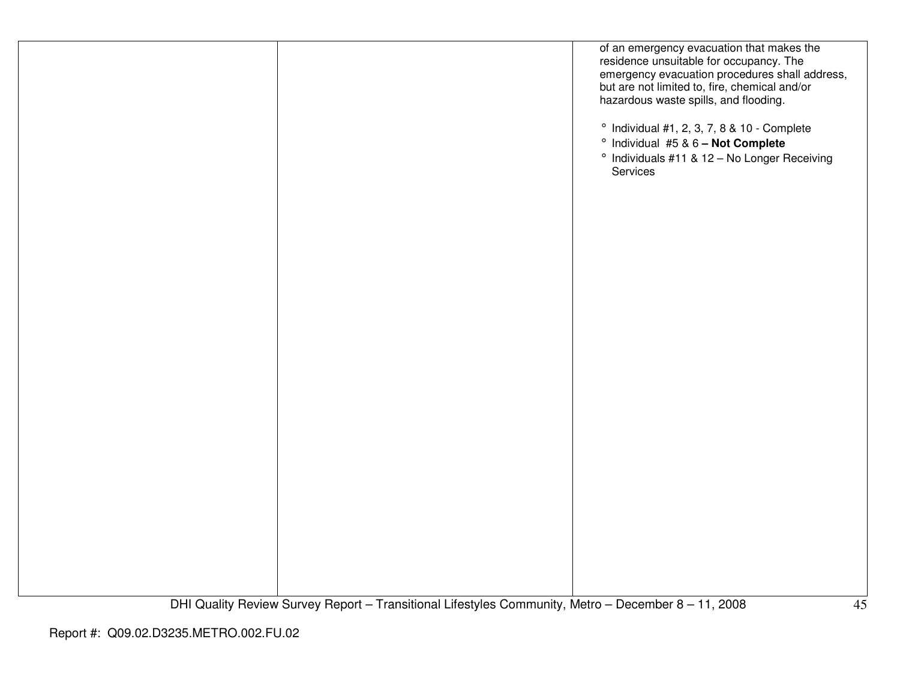|  | of an emergency evacuation that makes the<br>residence unsuitable for occupancy. The<br>emergency evacuation procedures shall address,<br>but are not limited to, fire, chemical and/or<br>hazardous waste spills, and flooding.<br>$^{\circ}$ Individual #1, 2, 3, 7, 8 & 10 - Complete<br><sup>o</sup> Individual #5 & 6 - Not Complete<br>° Individuals #11 & 12 - No Longer Receiving<br>Services |
|--|-------------------------------------------------------------------------------------------------------------------------------------------------------------------------------------------------------------------------------------------------------------------------------------------------------------------------------------------------------------------------------------------------------|
|  |                                                                                                                                                                                                                                                                                                                                                                                                       |
|  |                                                                                                                                                                                                                                                                                                                                                                                                       |
|  |                                                                                                                                                                                                                                                                                                                                                                                                       |